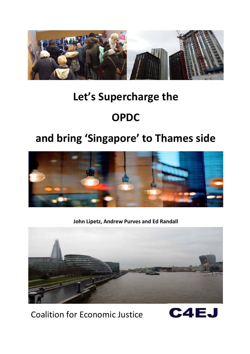

# **Let's Supercharge the**

# **OPDC**

# **and bring 'Singapore' to Thames side**



**John Lipetz, Andrew Purves and Ed Randall**



Coalition for Economic Justice

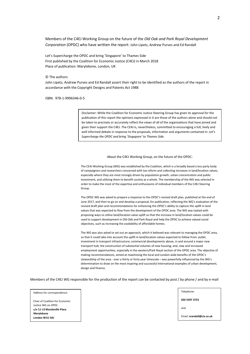Members of the C4EJ Working Group on the future of the *Old Oak and Park Royal Development Corporation* (OPDC) who have written the report: John Lipetz, Andrew Purves and Ed Randall

Let's Supercharge the OPDC and bring 'Singapore' to Thames Side First published by the Coalition for Economic Justice (C4EJ) in March 2018 Place of publication: Marylebone, London, UK

© The authors

John Lipetz, Andrew Purves and Ed Randall assert their right to be identified as the authors of the report in accordance with the Copyright Designs and Patents Act 1988

ISBN: 978-1-9996346-0-5

Disclaimer: While the Coalition for Economic Justice Steering Group has given its approval for the publication of this report the opinions expressed in it are those of the authors alone and should not be taken to precisely or accurately reflect the views of all of the organisations that have joined and given their support the C4EJ. The CE4J is, nevertheless, committed to encouraging a full, lively and well informed debate in response to the proposals, information and arguments contained in: *Let's Supercharge the OPDC and bring 'Singapore' to Thames Side*.

#### About the C4EJ Working Group, on the future of the OPDC:

The CE4J Working Group (WG) was established by the Coalition, which is a broadly based cross-party body of campaigners and researchers concerned with tax reform and collecting increases in land/location values, especially where they are most strongly driven by population growth, urban concentration and public investment, and utilising them to benefit society as a whole. The membership of the WG was selected in order to make the most of the expertise and enthusiasms of individual members of the C4EJ Steering Group.

The OPDC WG was asked to prepare a response to the OPDC's revised draft plan, published at the end of June 2017, and then to go on and develop a proposal, for publication, reflecting the WG's evaluation of the revised draft plan and recommendations for enhancing the OPDC's ability to capture the uplift in land values that was expected to flow from the development of the OPDC area. The WG was tasked with proposing ways to utilise land/location value uplift so that the increase in land/location values could be used to support development in Old Oak and Park Royal and help the OPDC to achieve valued social objectives, such as increasing the availability of affordable homes.

The WG was also asked to set out an approach, which it believed was relevant to managing the OPDC area, so that it could take into account the uplift in land/location values expected to follow from: public investment in transport infrastructure; commercial developments above, in and around a major new transport hub; the construction of substantial volumes of new housing; and, new and increased employment opportunities, especially in the western/Park Royal section of the OPDC area. The objective of making recommendations, aimed at maximising the local and London wide benefits of the OPDC's stewardship of the area - over a thirty or forty year timescale – was powerfully influenced by the WG's determination to draw on the most inspiring and successful international examples of urban development, design and finance.

Members of the C4EJ WG responsible for the production of the report can be contacted by post / by phone / and by e-mail

Address for correspondence:

Chair of Coalition for Economic Justice WG on OPDC **c/o 11-13 Mandeville Place Marylebone London W1U 3AJ**

**020 3397 3723** 

Telephone:

and

Email: **erandall@cix.co.uk**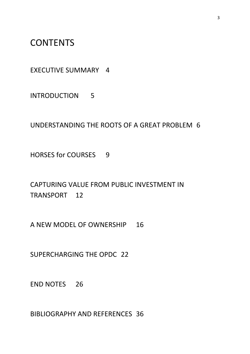**CONTENTS** 

EXECUTIVE SUMMARY 4

INTRODUCTION 5

UNDERSTANDING THE ROOTS OF A GREAT PROBLEM 6

HORSES for COURSES 9

CAPTURING VALUE FROM PUBLIC INVESTMENT IN TRANSPORT 12

A NEW MODEL OF OWNERSHIP 16

SUPERCHARGING THE OPDC 22

END NOTES 26

BIBLIOGRAPHY AND REFERENCES 36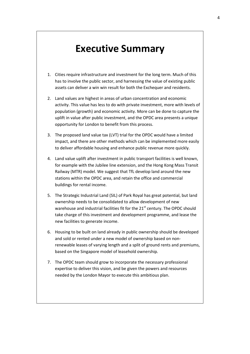# **Executive Summary**

- 1. Cities require infrastructure and investment for the long term. Much of this has to involve the public sector, and harnessing the value of existing public assets can deliver a win win result for both the Exchequer and residents.
- 2. Land values are highest in areas of urban concentration and economic activity. This value has less to do with private investment, more with levels of population (growth) and economic activity. More can be done to capture the uplift in value after public investment, and the OPDC area presents a unique opportunity for London to benefit from this process.
- 3. The proposed land value tax (LVT) trial for the OPDC would have a limited impact, and there are other methods which can be implemented more easily to deliver affordable housing and enhance public revenue more quickly.
- 4. Land value uplift after investment in public transport facilities is well known, for example with the Jubilee line extension, and the Hong Kong Mass Transit Railway (MTR) model. We suggest that TfL develop land around the new stations within the OPDC area, and retain the office and commercial buildings for rental income.
- 5. The Strategic Industrial Land (SIL) of Park Royal has great potential, but land ownership needs to be consolidated to allow development of new warehouse and industrial facilities fit for the  $21<sup>st</sup>$  century. The OPDC should take charge of this investment and development programme, and lease the new facilities to generate income.
- 6. Housing to be built on land already in public ownership should be developed and sold or rented under a new model of ownership based on nonrenewable leases of varying length and a split of ground rents and premiums, based on the Singapore model of leasehold ownership.
- 7. The OPDC team should grow to incorporate the necessary professional expertise to deliver this vision, and be given the powers and resources needed by the London Mayor to execute this ambitious plan.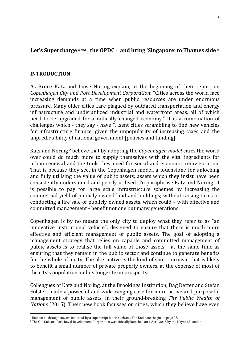### **Let's Supercharge** <sup>a</sup> and [1](#page-4-0) **the OPDC** [2](#page-4-1) **and bring 'Singapore' to Thames side** <sup>b</sup>

#### **INTRODUCTION**

As Bruce Katz and Luise Noring explain, at the beginning of their report on *Copenhagen City and Port Development Corporation*: "Cities across the world face increasing demands at a time when public resources are under enormous pressure. Many older cities…are plagued by outdated transportation and energy infrastructure and underutilized industrial and waterfront areas, all of which need to be upgraded for a radically changed economy." It is a combination of challenges which - they say - have "…sent cities scrambling to find new vehicles for infrastructure finance, given the unpopularity of increasing taxes and the unpredictability of national government [policies and funding]."

Katz and Noring c believe that by adopting the *Copenhagen model* cities the world over could do much more to supply themselves with the vital ingredients for urban renewal and the tools they need for social and economic reinvigoration. That is because they see, in the Copenhagen model, a touchstone for unlocking and fully utilising the value of public assets; assets which they insist have been consistently undervalued and poorly utilised. To paraphrase Katz and Noring: it is possible to pay for large scale infrastructure schemes by increasing the commercial yield of publicly owned land and buildings; without raising taxes or conducting a fire sale of publicly owned assets, which could – with effective and committed management - benefit not one but many generations.

Copenhagen is by no means the only city to deploy what they refer to as "an innovative institutional vehicle", designed to ensure that there is much more effective and efficient management of public assets. The goal of adopting a management strategy that relies on capable and committed management of public assets is to realise the full value of those assets - at the same time as ensuring that they remain in the public sector and continue to generate benefits for the whole of a city. The alternative is the kind of short-termism that is likely to benefit a small number of private property owners, at the expense of most of the city's population and its longer term prospects.

Colleagues of Katz and Noring, at the Brookings Institution, Dag Detter and Stefan Fölster, made a powerful and wide-ranging case for more active and purposeful management of public assets, in their ground-breaking *The Public Wealth of Nations* (2015). Their new book focusses on cities, which they believe have even

**<sup>.</sup>** <sup>1</sup> End notes, throughout, are indicated by a superscript letter, such as <sup>a</sup>. The End notes begin on page 23.

<span id="page-4-1"></span><span id="page-4-0"></span><sup>2</sup> The Old Oak and Park Royal Development Corporation was officially launched on 1 April 2015 by the Mayor of London.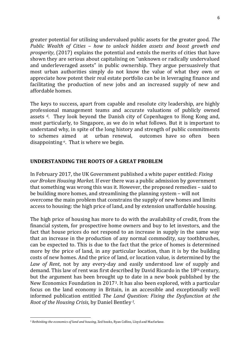greater potential for utilising undervalued public assets for the greater good. *The Public Wealth of Cities – how to unlock hidden assets and boost growth and prosperity*, (2017) explains the potential and extols the merits of cities that have shown they are serious about capitalising on "unknown or radically undervalued and underleveraged assets" in public ownership. They argue persuasively that most urban authorities simply do not know the value of what they own or appreciate how potent their real estate portfolio can be in leveraging finance and facilitating the production of new jobs and an increased supply of new and affordable homes.

The keys to success, apart from capable and resolute city leadership, are highly professional management teams and accurate valuations of publicly owned assets d. They look beyond the Danish city of Copenhagen to Hong Kong and, most particularly, to Singapore, as we do in what follows. But it is important to understand why, in spite of the long history and strength of public commitments<br>to schemes aimed at urban renewal, outcomes have so often been outcomes have so often disappointing e. That is where we begin.

#### **UNDERSTANDING THE ROOTS OF A GREAT PROBLEM**

In February 2017, the UK Government published a white paper entitled: *Fixing our Broken Housing Market*. If ever there was a public admission by government that something was wrong this was it. However, the proposed remedies – said to be building more homes, and streamlining the planning system – will not overcome the main problem that constrains the supply of new homes and limits access to housing: the high price of land, and by extension unaffordable housing.

The high price of housing has more to do with the availability of credit, from the financial system, for prospective home owners and buy to let investors, and the fact that house prices do not respond to an increase in supply in the same way that an increase in the production of any normal commodity, say toothbrushes, can be expected to. This is due to the fact that the price of homes is determined more by the price of land, in any particular location, than it is by the building costs of new homes. And the price of land, or location value, is determined by the *Law of Rent*, not by any every-day and easily understood law of supply and demand. This law of rent was first described by David Ricardo in the 18th century, but the argument has been brought up to date in a new book published by the New Economics Foundation in 2017[3](#page-5-0). It has also been explored, with a particular focus on the land economy in Britain, in an accessible and exceptionally well informed publication entitled *The Land Question: Fixing the Dysfunction at the Root of the Housing Crisis*, by Daniel Bentley f .

**.** 

<span id="page-5-0"></span><sup>3</sup> *Rethinking the economics of land and housing*, Zed books, Ryan Collins, Lloyd and Macfarlane.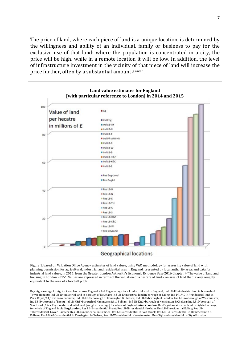The price of land, where each piece of land is a unique location, is determined by the willingness and ability of an individual, family or business to pay for the exclusive use of that land: where the population is concentrated in a city, the price will be high, while in a remote location it will be low. In addition, the level of infrastructure investment in the vicinity of that piece of land will increase the price further, often by a substantial amount g and h.



equivalent to the area of a football pitch.

Key: Agr=average for Agricultural land across England / Ind Eng=average for all industrial land in England; Ind LB-TH=industrial land in borough of Tower Hamlets; Ind LB-N=industrial land in borough of Newham; Ind LB-E=industrial land in borough of Ealing; Ind PR-A40-HR=industrial land in Park Royal/A4/Heathrow corridor; Ind LB-K&C= borough of Kensington & Chelsea; Ind LB-C=borough of Camden; Ind LB-W=borough of Westminster; Ind LB-B=borough of Brent; Ind LB-H&F=borough of Hammersmith & Fulham; Ind LB-K&C=borough of Kensington & Chelsea; Ind LB-S=borough of Southwark / Res Eng-Lond=residential land [weighted average] for whole of England **minus London**; Res EngAll=residential land [weighted average] for whole of England **including London**; Res LB-B=residential Brent; Res LB-N=residential Newham; Res LB-E=residential Ealing; Res LB-TH=residential Tower Hamlets; Res LB-C=residential in Camden; Res LB-S=residential in Southwark; Res LB-H&F=residential in Hammersmith & Fulham; Res LB-K&C=residential in Kensington & Chelsea; Res LB-W=residential in Westminster; Res CityLond=residential in City of London.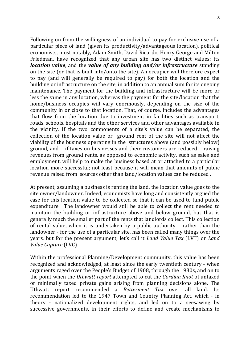Following on from the willingness of an individual to pay for exclusive use of a particular piece of land (given its productivity/advantageous location), political economists, most notably, Adam Smith, David Ricardo, Henry George and Milton Friedman, have recognized that any urban site has two distinct values: its *location value*, and the *value of any building and/or infrastructure* standing on the site (or that is built into/onto the site). An occupier will therefore expect to pay (and will generally be required to pay) for both the location and the building or infrastructure on the site, in addition to an annual sum for its ongoing maintenance. The payment for the building and infrastructure will be more or less the same in any location, whereas the payment for the site/location that the home/business occupies will vary enormously, depending on the size of the community in or close to that location. That, of course, includes the advantages that flow from the location due to investment in facilities such as transport, roads, schools, hospitals and the other services and other advantages available in the vicinity. If the two components of a site's value can be separated, the collection of the location value or ground rent of the site will not affect the viability of the business operating in the structures above (and possibly below) ground, and – if taxes on businesses and their customers are reduced – raising revenues from ground rents, as opposed to economic activity, such as sales and employment, will help to make the business based at or attached to a particular location more successful; not least because it will mean that amounts of public revenue raised from sources other than land/location values can be reduced .

At present, assuming a business is renting the land, the location value goes to the site owner/landowner. Indeed, economists have long and consistently argued the case for this location value to be collected so that it can be used to fund public expenditure. The landowner would still be able to collect the rent needed to maintain the building or infrastructure above and below ground, but that is generally much the smaller part of the rents that landlords collect. This collection of rental value, when it is undertaken by a public authority – rather than the landowner - for the use of a particular site, has been called many things over the years, but for the present argument, let's call it *Land Value Tax* (LVT) or *Land Value Capture* (LVC).

Within the professional Planning/Development community, this value has been recognized and acknowledged, at least since the early twentieth century - when arguments raged over the People's Budget of 1908, through the 1930s, and on to the point when the *Uthwatt report* attempted to cut the *Gordian Knot* of untaxed or minimally taxed private gains arising from planning decisions alone. The Uthwatt report recommended a *Betterment Tax* over all land. Its recommendation led to the 1947 Town and Country Planning Act, which - in theory - nationalized development rights, and led on to a seesawing by successive governments, in their efforts to define and create mechanisms to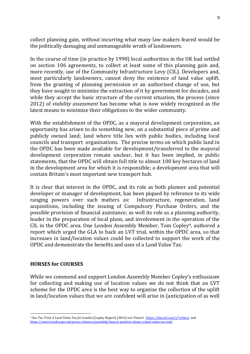collect planning gain, without incurring what many law makers feared would be the politically damaging and unmanageable wrath of landowners.

In the course of time (in practice by 1990) local authorities in the UK had settled on section 106 agreements, to collect at least some of this planning gain and, more recently, use of the Community Infrastructure Levy (CIL). Developers and, most particularly landowners, cannot deny the existence of land value uplift, from the granting of planning permission or an authorised change of use, but they have sought to minimize the extraction of it by government for decades, and while they accept the basic structure of the current situation, the process (since 2012) of *viability assessment* has become what is now widely recognized as the latest means to minimize their obligations to the wider community.

With the establishment of the OPDC, as a mayoral development corporation, an opportunity has arisen to do something new, on a substantial piece of prime and publicly owned land; land where title lies with public bodies, including local councils and transport organisations. The precise terms on which public land in the OPDC has been made available for development/transferred to the mayoral development corporation remain unclear, but it has been implied, in public statements, that the OPDC will obtain full title to almost 100 key hectares of land in the development area for which it is responsible; a development area that will contain Britain's most important new transport hub.

It is clear that interest in the OPDC, and its role as both planner and potential developer or manager of development, has been piqued by reference to its wide ranging powers over such matters as: Infrastructure, regeneration, land ranging powers over such matters as: acquisitions, including the issuing of Compulsory Purchase Orders, and the possible provision of financial assistance; as well its role as a planning authority, leader in the preparation of local plans, and involvement in the operation of the CIL in the OPDC area. One London Assembly Member, Tom Copley[4](#page-8-0), authored a report which urged the GLA to back an LVT trial, within the OPDC area, so that increases in land/location values could be collected to support the work of the OPDC and demonstrate the benefits and uses of a Land Value Tax.

### **HORSES for COURSES**

While we commend and support London Assembly Member Copley's enthusiasm for collecting and making use of location values we do not think that an LVT scheme for the OPDC area is the best way to organize the collection of the uplift in land/location values that we are confident will arise in (anticipation of as well

<span id="page-8-0"></span>**<sup>.</sup>** <sup>4</sup> See *Tax Trial: A Land Value Tax for London* [Copley Report] (2016) see Tinyurl <https://tinyurl.com/y7xrbnzy>and <https://www.london.gov.uk/press-releases/assembly/mayor-positive-about-a-land-value-tax-trial>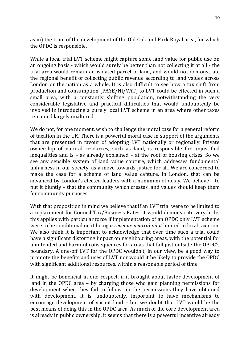as in) the train of the development of the Old Oak and Park Royal area, for which the OPDC is responsible.

While a local trial LVT scheme might capture some land value for public use on an ongoing basis - which would surely be better than not collecting it at all - the trial area would remain an isolated parcel of land, and would not demonstrate the regional benefit of collecting public revenue according to land values across London or the nation as a whole. It is also difficult to see how a tax shift from production and consumption (PAYE/NI/VAT) to LVT could be effected in such a small area, with a constantly shifting population, notwithstanding the very considerable legislative and practical difficulties that would undoubtedly be involved in introducing a purely local LVT scheme in an area where other taxes remained largely unaltered.

We do not, for one moment, wish to challenge the moral case for a general reform of taxation in the UK. There is a powerful moral case in support of the arguments that are presented in favour of adopting LVT nationally or regionally. Private ownership of natural resources, such as land, is responsible for unjustified inequalities and is – as already explained – at the root of housing crises. So we see any sensible system of land value capture, which addresses fundamental unfairness in our society, as a move towards justice for all. We are concerned to make the case for a scheme of land value capture, in London, that can be advanced by London's elected leaders with a minimum of delay. We believe – to put it bluntly – that the community which creates land values should keep them for community purposes.

With that proposition in mind we believe that if an LVT trial were to be limited to a replacement for Council Tax/Business Rates, it would demonstrate very little; this applies with particular force if implementation of an OPDC only LVT scheme were to be conditional on it being *a revenue neutral pilot* limited to local taxation. We also think it is important to acknowledge that over time such a trial could have a significant distorting impact on neighbouring areas, with the potential for unintended and harmful consequences for areas that fall just outside the OPDC's boundary. A one-off LVT for the OPDC wouldn't, in our view, be a good way to promote the benefits and uses of LVT nor would it be likely to provide the OPDC with significant additional resources, within a reasonable period of time.

It might be beneficial in one respect, if it brought about faster development of land in the OPDC area – by charging those who gain planning permissions for development when they fail to follow up the permissions they have obtained with development. It is, undoubtedly, important to have mechanisms to encourage development of vacant land – but we doubt that LVT would be the best means of doing this in the OPDC area. As much of the core development area is already in public ownership, it seems that there is a powerful incentive already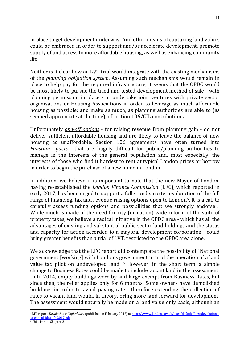in place to get development underway. And other means of capturing land values could be embraced in order to support and/or accelerate development, promote supply of and access to more affordable housing, as well as enhancing community life.

Neither is it clear how an LVT trial would integrate with the existing mechanisms of the *planning obligation system*. Assuming such mechanisms would remain in place to help pay for the required infrastructure, it seems that the OPDC would be most likely to pursue the tried and tested development method of sale - with planning permission in place - or undertake joint ventures with private sector organisations or Housing Associations in order to leverage as much affordable housing as possible; and make as much, as planning authorities are able to (as seemed appropriate at the time), of section 106/CIL contributions.

Unfortunately *one-off options* - for raising revenue from planning gain - do not deliver sufficient affordable housing and are likely to leave the balance of new housing as unaffordable. Section 106 agreements have often turned into *Faustian pacts* <sup>i</sup> that are hugely difficult for public/planning authorities to manage in the interests of the general population and, most especially, the interests of those who find it hardest to rent at typical London prices or borrow in order to begin the purchase of a new home in London.

In addition, we believe it is important to note that the new Mayor of London, having re-established the *London Finance Commission* (LFC), which reported in early 2017, has been urged to support a fuller and smarter exploration of the full range of financing, tax and revenue raising options open to London[5](#page-10-0). It is a call to carefully assess funding options and possibilities that we strongly endorse <sup>j</sup> . While much is made of the need for city (or nation) wide reform of the suite of property taxes, we believe a radical initiative in the OPDC area - which has all the advantages of existing and substantial public sector land holdings and the status and capacity for action accorded to a mayoral development corporation - could bring greater benefits than a trial of LVT, restricted to the OPDC area alone.

We acknowledge that the LFC report did contemplate the possibility of "National government [working] with London's g[ov](#page-10-1)ernment to trial the operation of a land value tax pilot on undeveloped land."6 However, in the short term, a simple change to Business Rates could be made to include vacant land in the assessment. Until 2014, empty buildings were by and large exempt from Business Rates, but since then, the relief applies only for 6 months. Some owners have demolished buildings in order to avoid paying rates, therefore extending the collection of rates to vacant land would, in theory, bring more land forward for development. The assessment would naturally be made on a land value only basis, although an

<span id="page-10-0"></span><sup>5</sup> LFC report, *Devolution a Capital Idea* (published in February 2017) a[t https://www.london.gov.uk/sites/default/files/devolution\\_-](https://www.london.gov.uk/sites/default/files/devolution_-_a_capital_idea_lfc_2017.pdf) [\\_a\\_capital\\_idea\\_lfc\\_2017.pdf](https://www.london.gov.uk/sites/default/files/devolution_-_a_capital_idea_lfc_2017.pdf)

 $\overline{\phantom{a}}$ 

<span id="page-10-1"></span><sup>6</sup> Ibid, Part 4, Chapter 2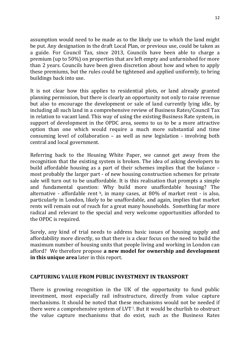assumption would need to be made as to the likely use to which the land might be put. Any designation in the draft Local Plan, or previous use, could be taken as a guide. For Council Tax, since 2013, Councils have been able to charge a premium (up to 50%) on properties that are left empty and unfurnished for more than 2 years. Councils have been given discretion about how and when to apply these premiums, but the rules could be tightened and applied uniformly, to bring buildings back into use.

It is not clear how this applies to residential plots, or land already granted planning permission, but there is clearly an opportunity not only to raise revenue but also to encourage the development or sale of land currently lying idle, by including all such land in a comprehensive review of Business Rates/Council Tax in relation to vacant land. This way of using the existing Business Rate system, in support of development in the OPDC area, seems to us to be a more attractive option than one which would require a much more substantial and time consuming level of collaboration – as well as new legislation - involving both central and local government.

Referring back to the Housing White Paper, we cannot get away from the recognition that the existing system is broken. The idea of asking developers to build affordable housing as a part of their schemes implies that the balance – most probably the larger part - of new housing construction schemes for private sale will turn out to be unaffordable. It is this realisation that prompts a simple and fundamental question: Why build more unaffordable housing? The alternative - affordable rent  $k$ , in many cases, at 80% of market rent - is also, particularly in London, likely to be unaffordable, and again, implies that market rents will remain out of reach for a great many households. Something far more radical and relevant to the special and very welcome opportunities afforded to the OPDC is required.

Surely, any kind of trial needs to address basic issues of housing supply and affordability more directly, so that there is a clear focus on the need to build the maximum number of housing units that people living and working in London can afford? We therefore propose **a new model for ownership and development in this unique area** later in this report.

### **CAPTURING VALUE FROM PUBLIC INVESTMENT IN TRANSPORT**

There is growing recognition in the UK of the opportunity to fund public investment, most especially rail infrastructure, directly from value capture mechanisms. It should be noted that these mechanisms would not be needed if there were a comprehensive system of LVT<sub>1</sub>. But it would be churlish to obstruct the value capture mechanisms that do exist, such as the Business Rates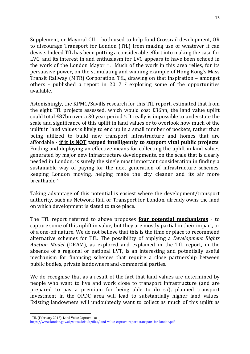Supplement, or Mayoral CIL - both used to help fund Crossrail development, OR to discourage Transport for London (TfL) from making use of whatever it can devise. Indeed TfL has been putting a considerable effort into making the case for LVC, and its interest in and enthusiasm for LVC appears to have been echoed in the work of the London Mayor m. Much of the work in this area relies, for its persuasive power, on the stimulating and winning example of Hong Kong's Mass Transit Railway (MTR) Corporation. Tf[L,](#page-12-0) drawing on that inspiration – amongst others - published a report in 2017 <sup>7</sup> exploring some of the opportunities available.

Astonishingly, the KPMG/Savills research for this TfL report, estimated that from the eight TfL projects assessed, which would cost £36bn, the land value uplift could total £87bn over a 30 year period n. It really is impossible to understate the scale and significance of this uplift in land values or to overlook how much of the uplift in land values is likely to end up in a small number of pockets, rather than being utilized to build new transport infrastructure and homes that are affordable - **if it is NOT tapped intelligently to support vital public projects**. Finding and deploying an effective means for collecting the uplift in land values generated by major new infrastructure developments, on the scale that is clearly needed in London, is surely the single most important consideration in finding a sustainable way of paying for the next generation of infrastructure schemes, keeping London moving, helping make the city cleaner and its air more breathable o.

Taking advantage of this potential is easiest where the development/transport authority, such as Network Rail or Transport for London, already owns the land on which development is slated to take place.

The TfL report referred to above proposes **four potential mechanisms** <sup>p</sup> to capture some of this uplift in value, but they are mostly partial in their impact, or of a one-off nature. We do not believe that this is the time or place to recommend alternative schemes for TfL. The possibility of applying a *Development Rights Auction Model* (DRAM), as explored and explained in the TfL report, in the absence of a regional or national LVT, is an interesting and potentially useful mechanism for financing schemes that require a close partnership between public bodies, private landowners and commercial parties.

We do recognise that as a result of the fact that land values are determined by people who want to live and work close to transport infrastructure (and are prepared to pay a premium for being able to do so), planned transport investment in the OPDC area will lead to substantially higher land values. Existing landowners will undoubtedly want to collect as much of this uplift as

**<sup>.</sup>** <sup>7</sup> TfL (February 2017), Land Value Capture – at

<span id="page-12-0"></span>[https://www.london.gov.uk/sites/default/files/land\\_value\\_capture\\_report\\_transport\\_for\\_london.pdf](https://www.london.gov.uk/sites/default/files/land_value_capture_report_transport_for_london.pdf)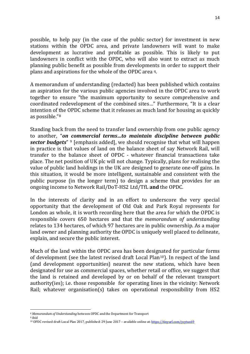possible, to help pay (in the case of the public sector) for investment in new stations within the OPDC area, and private landowners will want to make development as lucrative and profitable as possible. This is likely to put landowners in conflict with the OPDC, who will also want to extract as much planning public benefit as possible from developments in order to support their plans and aspirations for the whole of the OPDC area q.

A memorandum of understanding (redacted) has been published which contains an aspiration for the various public agencies involved in the OPDC area to work together to ensure "the maximum opportunity to secure comprehensive and coordinated redevelopment of the combined sites…" Furthermore, "It is a clear intention of the OPDC scheme that it releases as much land for housing as quickly as possible."[8](#page-13-0)

Standing back from the need to transfer land ownership from one public agency to another, "*on [c](#page-13-1)ommercial terms…to maintain discipline between public sector budgets*" <sup>9</sup> [emphasis added], we should recognise that what will happen in practice is that values of land on the balance sheet of say Network Rail, will transfer to the balance sheet of OPDC - whatever financial transactions take place. The net position of UK plc will not change. Typically, plans for realising the value of public land holdings in the UK are designed to generate one-off gains. In this situation, it would be more intelligent, sustainable and consistent with the public purpose (in the longer term) to design a scheme that provides for an ongoing income to Network Rail/DoT-HS2 Ltd/TfL **and** the OPDC.

In the interests of clarity and in an effort to underscore the very special opportunity that the development of Old Oak and Park Royal represents for London as whole, it is worth recording here that the area for which the OPDC is responsible covers 650 hectares and that the *memorandum of understanding* relates to 134 hectares, of which 97 hectares are in public ownership. As a major land owner and planning authority the OPDC is uniquely well placed to delineate, explain, and secure the public interest.

Much of the land within the OPDC area has been designated for particular forms of development (see the latest revised draft Local Plan[10\)](#page-13-2). In respect of the land (and development opportunities) nearest the new stations, which have been designated for use as commercial spaces, whether retail or office, we suggest that the land is retained and developed by or on behalf of the relevant transport authority(ies); i.e. those responsible for operating lines in the vicinity: Network Rail; whatever organisation(s) takes on operational responsibility from HS2

<span id="page-13-3"></span><sup>9</sup> ibid

<span id="page-13-2"></span><span id="page-13-1"></span><span id="page-13-0"></span> $\overline{\phantom{a}}$ <sup>8</sup> *Memorandum of Understanding* between OPDC and the Department for Transport

<sup>10</sup> OPDC revised draft Local Plan 2017, published: 29 June 2017 – available online at[: https://tinyurl.com/ycytux69](https://tinyurl.com/ycytux69)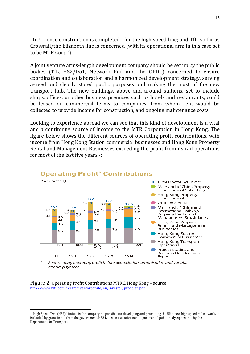Ltd<sup>[11](#page-13-3)</sup> - once construction is completed - for the high speed line; and TfL, so far as Crossrail/the Elizabeth line is concerned (with its operational arm in this case set to be MTR Corp r).

A joint venture arms-length development company should be set up by the public bodies (TfL, HS2/DoT, Network Rail and the OPDC) concerned to ensure coordination and collaboration and a harmonized development strategy, serving agreed and clearly stated public purposes and making the most of the new transport hub. The new buildings, above and around stations, set to include shops, offices, or other business premises such as hotels and restaurants, could be leased on commercial terms to companies, from whom rent would be collected to provide income for construction, and ongoing maintenance costs.

Looking to experience abroad we can see that this kind of development is a vital and a continuing source of income to the MTR Corporation in Hong Kong. The figure below shows the different sources of operating profit contributions, with income from Hong Kong Station commercial businesses and Hong Kong Property Rental and Management Businesses exceeding the profit from its rail operations for most of the last five years q:



## **Operating Profit** Contributions

Representing operating profit before depreciation, amortisation and variable annual payment

Figure 2, Operating Profit Contributions MTRC, Hong Kong – source: [http://www.mtr.com.hk/archive/corporate/en/investor/profit\\_en.pdf](http://www.mtr.com.hk/archive/corporate/en/investor/profit_en.pdf)

 $\overline{\phantom{a}}$ 

<sup>11</sup> High Speed Two (HS2) Limited is the company responsible for developing and promoting the UK's new high speed rail network. It is funded by grant-in-aid from the government. HS2 Ltd is an executive non-departmental public body, sponsored by the Department for Transport.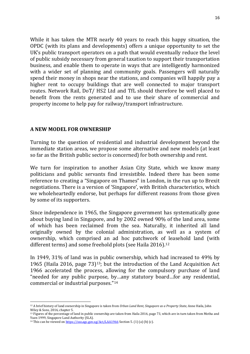While it has taken the MTR nearly 40 years to reach this happy situation, the OPDC (with its plans and developments) offers a unique opportunity to set the UK's public transport operators on a path that would eventually reduce the level of public subsidy necessary from general taxation to support their transportation business, and enable them to operate in ways that are intelligently harmonized with a wider set of planning and community goals. Passengers will naturally spend their money in shops near the stations, and companies will happily pay a higher rent to occupy buildings that are well connected to major transport routes. Network Rail, DoT/ HS2 Ltd and TfL should therefore be well placed to benefit from the rents generated and to use their share of commercial and property income to help pay for railway/transport infrastructure.

#### **A NEW MODEL FOR OWNERSHIP**

Turning to the question of residential and industrial development beyond the immediate station areas, we propose some alternative and new models (at least so far as the British public sector is concerned) for both ownership and rent.

We turn for inspiration to another Asian City State, which we know many politicians and public servants find irresistible. Indeed there has been some reference to creating a "Singapore on Thames" in London, in the run up to Brexit negotiations. There is a version of 'Singapore', with British characteristics, which we wholeheartedly endorse, but perhaps for different reasons from those given by some of its supporters.

Since independence in 1965, the Singapore government has systematically gone about buying land in Singapore, and by 2002 owned 90% of the land area, some of which has been reclaimed from the sea. Naturally, it inherited all land originally owned by the colonial administration, as well as a system of ownership, which comprised an ad hoc patchwork of leasehold land (with different terms) and some freehold plots (see Haila 2016).<sup>[12](#page-15-0)</sup>

In 1949, 31% of land was in public ownership, which had increased to 49% by 1965 (Haila 2016, page 73)[13;](#page-15-1) but the introduction of the Land Acquisition Act 1966 accelerated the process, allowing for the compulsory purchase of land "needed for any public purpose, by…any statutory board…for any residential, commercial or industrial purposes."[14](#page-15-2)

<span id="page-15-0"></span> $\overline{\phantom{a}}$ <sup>12</sup> A brief history of land ownership in Singapore is taken from *Urban Land Rent, Singapore as a Property State,* Anne Haila, John Wiley & Sons, 2016, chapter 5.

<span id="page-15-1"></span><sup>&</sup>lt;sup>13</sup> Figures of the percentage of land in public ownership are taken from Haila 2016, page 73, which are in turn taken from Motha and Yuen 1999, Singapore Land Authority (SLA).

<span id="page-15-2"></span><sup>&</sup>lt;sup>14</sup> This can be viewed o[n https://sso.agc.gov.sg/Act/LAA1966](https://sso.agc.gov.sg/Act/LAA1966) Section 5. (1) (a) (b) (c).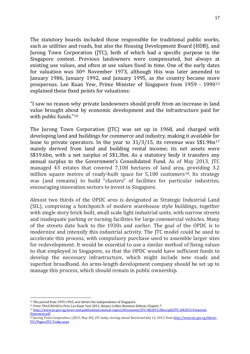The statutory boards included those responsible for traditional public works, such as utilities and roads, but also the Housing Development Board (HDB), and Jurong Town Corporation (JTC), both of which had a specific purpose in the Singapore context. Previous landowners were compensated, but always at existing use values, and often at use values fixed in time. One of the early dates for valuation was 30th November 1973, although this was later amended to January 1986, January 1992, and January 1995, as the country became more prosperous. Lee Kuan Yew, Prime Minister of Singapore from 1959 - 1990[15](#page-16-0) explained these fixed points for valuations:

"I saw no reason why private landowners should profit from an increase in land value brought about by economic development and the infrastructure paid for with public funds."[16](#page-16-1)

The Jurong Town Corporation (JTC) was set up in 1968, and charged with developing land and buildings for commerce and industry, making it available for lease to private operators. In the year to  $31/3/15$ , its revenue was  $\$1.9$ bn<sup>[17](#page-16-2)</sup> mainly derived from land and building rental income; its net assets were S\$19.6bn, with a net surplus of S\$1.3bn. As a statutory body it transfers any annual surplus to the Government's Consolidated Fund. As of May 2013, JTC managed 43 estates that covered 7,100 hectares of land area, providing 3.2 million square metres of ready-built space for 5,100 customers<sup>[18](#page-16-3)</sup>. Its strategy was (and remains) to build "clusters" of facilities for particular industries, encouraging innovation sectors to invest in Singapore.

Almost two thirds of the OPDC area is designated as Strategic Industrial Land (SIL), comprising a hotchpotch of modern warehouse style buildings, together with single story brick built, small scale light industrial units, with narrow streets and inadequate parking or turning facilities for large commercial vehicles. Many of the streets date back to the 1930s and earlier. The goal of the OPDC is to modernize and intensify this industrial activity. The JTC model could be used to accelerate this process, with compulsory purchase used to assemble larger sites for redevelopment. It would be essential to use a similar method of fixing values to that employed in Singapore, so that the OPDC would have sufficient funds to develop the necessary infrastructure, which might include new roads and superfast broadband. An arms-length development company should be set up to manage this process, which should remain in public ownership.

 $\overline{\phantom{a}}$ 

<span id="page-16-0"></span><sup>&</sup>lt;sup>15</sup> The period from 1959-1965, was before the independence of Singapore.

<span id="page-16-1"></span><sup>16</sup> *From Third World to First*, Lee Kuan Yew 2011, Harper Collins Business Edition, Chapter 7

<span id="page-16-2"></span><sup>17</sup> [http://www.jtc.gov.sg/news-and-publications/annual-report/Documents/JTC-AR2015/files/pdf/JTC-AR2015-Financial-](http://www.jtc.gov.sg/news-and-publications/annual-report/Documents/JTC-AR2015/files/pdf/JTC-AR2015-Financial-Statement.pdf)[Statement.pdf](http://www.jtc.gov.sg/news-and-publications/annual-report/Documents/JTC-AR2015/files/pdf/JTC-AR2015-Financial-Statement.pdf)

<span id="page-16-3"></span><sup>18</sup> Jurong Town Corporation. (2013, May 20). *JTC today, moving ahead*. Retrieved July 12, 2013, fro[m http://www.jtc.gov.sg/About-](http://www.jtc.gov.sg/About-JTC/Pages/JTC-Today.aspx)[JTC/Pages/JTC-Today.aspx](http://www.jtc.gov.sg/About-JTC/Pages/JTC-Today.aspx)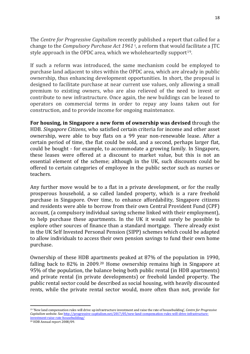The *Centre for Progressive Capitalism* recently published a report that called for a change to the *Compulsory Purchase Act 1961* <sup>t</sup> , a reform that would facilitate a JTC style approach in the OPDC area, which we wholeheartedly support<sup>[19](#page-17-0)</sup>.

If such a reform was introduced, the same mechanism could be employed to purchase land adjacent to sites within the OPDC area, which are already in public ownership, thus enhancing development opportunities. In short, the proposal is designed to facilitate purchase at near current use values, only allowing a small premium to existing owners, who are also relieved of the need to invest or contribute to new infrastructure. Once again, the new buildings can be leased to operators on commercial terms in order to repay any loans taken out for construction, and to provide income for ongoing maintenance.

**For housing, in Singapore a new form of ownership was devised** through the HDB. *Singapore Citizens*, who satisfied certain criteria for income and other asset ownership, were able to buy flats on a 99 year non-renewable lease. After a certain period of time, the flat could be sold, and a second, perhaps larger flat, could be bought - for example, to accommodate a growing family. In Singapore, these leases were offered at a discount to market value, but this is not an essential element of the scheme; although in the UK, such discounts could be offered to certain categories of employee in the public sector such as nurses or teachers.

Any further move would be to a flat in a private development, or for the really prosperous household, a so called landed property, which is a rare freehold purchase in Singapore. Over time, to enhance affordability, Singapore citizens and residents were able to borrow from their own Central Provident Fund (CPF) account, (a compulsory individual saving scheme linked with their employment), to help purchase these apartments. In the UK it would surely be possible to explore other sources of finance than a standard mortgage. There already exist in the UK Self Invested Personal Pension (SIPP) schemes which could be adapted to allow individuals to access their own pension savings to fund their own home purchase.

Ownership of these HDB apartments peaked at 87% of the population in 1990, falling back to 82% in 2009.[20](#page-17-1) Home ownership remains high in Singapore at 95% of the population, the balance being both public rental (in HDB apartments) and private rental (in private developments) or freehold landed property. The public rental sector could be described as social housing, with heavily discounted rents, while the private rental sector would, more often than not, provide for

 $\overline{\phantom{a}}$ 

<span id="page-17-0"></span><sup>19</sup> 'New land compensation rules will drive up infrastructure investment and raise the rate of housebuilding', *Centre for Progressive Capitalism website*. Se[e http://progressive-capitalism.net/2017/05/new-land-compensation-rules-will-drive-infrastructure](http://progressive-capitalism.net/2017/05/new-land-compensation-rules-will-drive-infrastructure-investment-raise-rate-housebuilding/)[investment-raise-rate-housebuilding/](http://progressive-capitalism.net/2017/05/new-land-compensation-rules-will-drive-infrastructure-investment-raise-rate-housebuilding/)

<span id="page-17-1"></span><sup>20</sup> HDB Annual report 2008/09.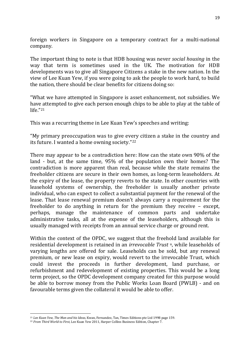foreign workers in Singapore on a temporary contract for a multi-national company.

The important thing to note is that HDB housing was never *social housing* in the way that term is sometimes used in the UK. The motivation for HDB developments was to give all Singapore Citizens a stake in the new nation. In the view of Lee Kuan Yew, if you were going to ask the people to work hard, to build the nation, there should be clear benefits for citizens doing so:

"What we have attempted in Singapore is asset enhancement, not subsidies. We have attempted to give each person enough chips to be able to play at the table of life."[21](#page-18-0)

This was a recurring theme in Lee Kuan Yew's speeches and writing:

"My primary preoccupation was to give every citizen a stake in the country and its future. I wanted a home owning society."[22](#page-18-1)

There may appear to be a contradiction here: How can the state own 90% of the land - but, at the same time, 95% of the population own their homes? The contradiction is more apparent than real, because while the state remains the freeholder citizens are secure in their own homes, as long-term leaseholders. At the expiry of the lease, the property reverts to the state. In other countries with leasehold systems of ownership, the freeholder is usually another private individual, who can expect to collect a substantial payment for the renewal of the lease. That lease renewal premium doesn't always carry a requirement for the freeholder to do anything in return for the premium they receive – except, perhaps, manage the maintenance of common parts and undertake administrative tasks, all at the expense of the leaseholders, although this is usually managed with receipts from an annual service charge or ground rent.

Within the context of the OPDC, we suggest that the freehold land available for residential development is retained in an *irrevocable Trust* u, while leaseholds of varying lengths are offered for sale. Leaseholds can be sold, but any renewal premium, or new lease on expiry, would revert to the irrevocable Trust, which could invest the proceeds in further development, land purchase, or refurbishment and redevelopment of existing properties. This would be a long term project, so the OPDC development company created for this purpose would be able to borrow money from the Public Works Loan Board (PWLB) - and on favourable terms given the collateral it would be able to offer.

**.** 

<span id="page-18-0"></span><sup>21</sup> *Lee Kuan Yew, The Man and his Ideas,* Kwan, Fernandez, Tan, Times Editions pte Ltd 1998 page 159.

<span id="page-18-1"></span><sup>22</sup> *From Third World to First*, Lee Kuan Yew 2011, Harper Collins Business Edition, Chapter 7.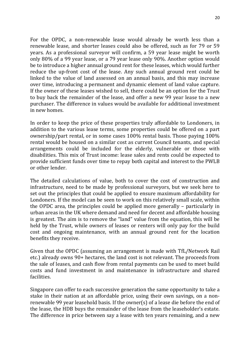For the OPDC, a non-renewable lease would already be worth less than a renewable lease, and shorter leases could also be offered, such as for 79 or 59 years. As a professional surveyor will confirm, a 59 year lease might be worth only 80% of a 99 year lease, or a 79 year lease only 90%. Another option would be to introduce a higher annual ground rent for these leases, which would further reduce the up-front cost of the lease. Any such annual ground rent could be linked to the value of land assessed on an annual basis, and this may increase over time, introducing a permanent and dynamic element of land value capture. If the owner of these leases wished to sell, there could be an option for the Trust to buy back the remainder of the lease, and offer a new 99 year lease to a new purchaser. The difference in values would be available for additional investment in new homes.

In order to keep the price of these properties truly affordable to Londoners, in addition to the various lease terms, some properties could be offered on a part ownership/part rental, or in some cases 100% rental basis. Those paying 100% rental would be housed on a similar cost as current Council tenants, and special arrangements could be included for the elderly, vulnerable or those with disabilities. This mix of Trust income: lease sales and rents could be expected to provide sufficient funds over time to repay both capital and interest to the PWLB or other lender.

The detailed calculations of value, both to cover the cost of construction and infrastructure, need to be made by professional surveyors, but we seek here to set out the principles that could be applied to ensure maximum affordability for Londoners. If the model can be seen to work on this relatively small scale, within the OPDC area, the principles could be applied more generally – particularly in urban areas in the UK where demand and need for decent and affordable housing is greatest. The aim is to remove the "land" value from the equation, this will be held by the Trust, while owners of leases or renters will only pay for the build cost and ongoing maintenance, with an annual ground rent for the location benefits they receive.

Given that the OPDC (assuming an arrangement is made with TfL/Network Rail etc.) already owns 90+ hectares, the land cost is not relevant. The proceeds from the sale of leases, and cash flow from rental payments can be used to meet build costs and fund investment in and maintenance in infrastructure and shared facilities.

Singapore can offer to each successive generation the same opportunity to take a stake in their nation at an affordable price, using their own savings, on a nonrenewable 99 year leasehold basis. If the owner(s) of a lease die before the end of the lease, the HDB buys the remainder of the lease from the leaseholder's estate. The difference in price between say a lease with ten years remaining, and a new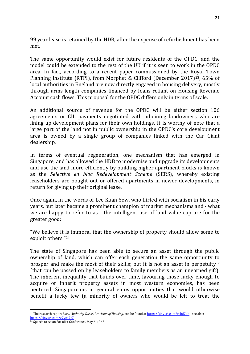99 year lease is retained by the HDB, after the expense of refurbishment has been met.

The same opportunity would exist for future residents of the OPDC, and the model could be extended to the rest of the UK if it is seen to work in the OPDC area. In fact, according to a recent paper commissioned by the Royal Town Planning Institute (RTPI), from Morphet & Clifford (December 2017)[23,](#page-20-0) 65% of local authorities in England are now directly engaged in housing delivery, mostly through arms-length companies financed by loans reliant on Housing Revenue Account cash flows. This proposal for the OPDC differs only in terms of scale.

An additional source of revenue for the OPDC will be either section 106 agreements or CIL payments negotiated with adjoining landowners who are lining up development plans for their own holdings. It is worthy of note that a large part of the land not in public ownership in the OPDC's core development area is owned by a single group of companies linked with the Car Giant dealership.

In terms of eventual regeneration, one mechanism that has emerged in Singapore, and has allowed the HDB to modernise and upgrade its developments and use the land more efficiently by building higher apartment blocks is known as the *Selective en bloc Redevelopment Scheme* (SERS), whereby existing leaseholders are bought out or offered apartments in newer developments, in return for giving up their original lease.

Once again, in the words of Lee Kuan Yew, who flirted with socialism in his early years, but later became a prominent champion of market mechanisms and - what we are happy to refer to as - the intelligent use of land value capture for the greater good:

"We believe it is immoral that the ownership of property should allow some to exploit others."[24](#page-20-1)

The state of Singapore has been able to secure an asset through the public ownership of land, which can offer each generation the same opportunity to prosper and make the most of their skills; but it is not an asset in perpetuity  $\mathbf{v}$ (that can be passed on by leaseholders to family members as an unearned gift). The inherent inequality that builds over time, favouring those lucky enough to acquire or inherit property assets in most western economies, has been neutered. Singaporeans in general enjoy opportunities that would otherwise benefit a lucky few (a minority of owners who would be left to treat the

 $\overline{a}$ 

<span id="page-20-0"></span><sup>23</sup> The research report *Local Authority Direct Provision of Housing*, can be found a[t https://tinyurl.com/yclnf7oh](https://tinyurl.com/yclnf7oh) - see also: <https://tinyurl.com/y7yps7c7>

<span id="page-20-1"></span><sup>24</sup> Speech to Asian Socialist Conference, May 6, 1965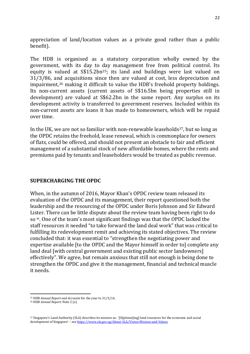appreciation of land/location values as a private good rather than a public benefit).

The HDB is organised as a statutory corporation wholly owned by the government, with its day to day management free from political control. Its equity is valued at S\$15.2bn[25](#page-21-0); its land and buildings were last valued on 31/3/86, and acquisitions since then are valued at cost, less depreciation and impairment,[26](#page-21-1) making it difficult to value the HDB's freehold property holdings. Its non-current assets (current assets of S\$16.5bn being properties still in development) are valued at S\$62.2bn in the same report. Any surplus on its development activity is transferred to government reserves. Included within its non-current assets are loans it has made to homeowners, which will be repaid over time.

In the UK, we are not so familiar with non-renewable leaseholds<sup>27</sup>, but so long as the OPDC retains the freehold, lease renewal, which is commonplace for owners of flats, could be offered, and should not present an obstacle to fair and efficient management of a substantial stock of new affordable homes, where the rents and premiums paid by tenants and leaseholders would be treated as public revenue.

### **SUPERCHARGING THE OPDC**

When, in the autumn of 2016, Mayor Khan's OPDC review team released its evaluation of the OPDC and its management, their report questioned both the leadership and the resourcing of the OPDC under Boris Johnson and Sir Edward Lister. There can be little dispute about the review team having been right to do so w. One of the team's most significant findings was that the OPDC lacked the staff resources it needed "to take forward the land deal work" that was critical to fulfilling its redevelopment remit and achieving its stated objectives. The review concluded that: it was essential to "strengthen the negotiating power and expertise available [to the OPDC and the Mayor himself in order to] complete any land deal [with central government and existing public sector landowners] effectively". We agree, but remain anxious that still not enough is being done to strengthen the OPDC and give it the management, financial and technical muscle it needs.

 $\overline{a}$ <sup>25</sup> HDB *Annual Report and Accounts* for the year to 31/3/16.

<span id="page-21-1"></span><span id="page-21-0"></span><sup>26</sup> HDB *Annual Report*: Note 2 (e)

<span id="page-21-2"></span><sup>27</sup> Singapore's Land Authority (SLA) describes its mission as: '[O]ptimis[ing] land resources for the economic and social development of Singapore' – se[e https://www.sla.gov.sg/About-SLA/Vision-Mission-and-Values](https://www.sla.gov.sg/About-SLA/Vision-Mission-and-Values)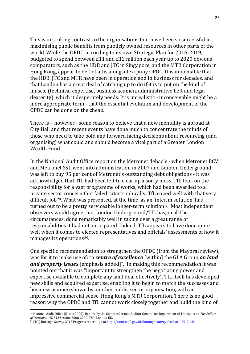This is in striking contrast to the organisations that have been so successful in maximising public benefits from publicly owned resources in other parts of the world. While the OPDC, according to its own Strategic Plan for 2016-2019, budgeted to spend between £11 and £12 million each year up to 2020 obvious comparators, such as the HDB and JTC in Singapore, and the MTR Corporation in Hong Kong, appear to be Goliaths alongside a puny OPDC. It is undeniable that the HDB, JTC and MTR have been in operation and in business for decades, and that London has a great deal of catching up to do if it is to put on the kind of muscle (technical expertise, business acumen, administrative heft and legal dexterity), which it desperately needs. It is unrealistic - inconceivable might be a more appropriate term - that the essential evolution and development of the OPDC can be done on the cheap.

There is – however - some reason to believe that a new mentality is abroad at City Hall and that recent events have done much to concentrate the minds of those who need to take bold and forward facing decisions about resourcing (and organising) what could and should become a vital part of a Greater London Wealth Fund.

In the National Audit Office report on the Metronet debacle - when Metronet BCV and Metronet SSL went into administration in 2007 and London Underground was left to buy 95 per cent of Metronet's outstanding debt obligations - it was acknowledged that TfL had been left to clear up a sorry mess. TfL took on the responsibility for a vast programme of works, which had been awarded to a private sector concern that failed catastrophically. TfL coped well with that very difficult job[28](#page-22-0). What was presented, at the time, as an 'interim solution' has turned out to be a pretty serviceable longer-term solution x. Most independent observers would agree that London Underground/TfL has, in all the circumstances, done remarkably well in taking over a great range of responsibilities it had not anticipated. Indeed, TfL appears to have done quite well when it comes to elected representatives and officials' assessments of how it manages its operations<sup>[29](#page-22-1)</sup>.

One specific recommendation to strengthen the OPDC (from the Mayoral review), was for it to make use of: "a *centre of excellence* [within] the GLA Group *on land and property issues* [emphasis added]". In making this recommendation it was pointed out that it was "important to strengthen the negotiating power and expertise available to complete any land deal effectively". TfL itself has developed new skills and acquired expertise, enabling it to begin to match the successes and business acumen shown by another public sector organisation, with an impressive commercial sense, Hong Kong's MTR Corporation. There is no good reason why the OPDC and TfL cannot work closely together and build the kind of

 $\overline{a}$ 

<span id="page-22-0"></span><sup>28</sup> National Audit Office (5 June 2009), Report by the Comptroller and Auditor General for Department of Transport on *The Failure* 

<span id="page-22-1"></span><sup>&</sup>lt;sup>29</sup> [TfL] Borough Survey 2017 Progress report – go t[o http://content.tfl.gov.uk/borough-survey-feedback-2017.pdf](http://content.tfl.gov.uk/borough-survey-feedback-2017.pdf)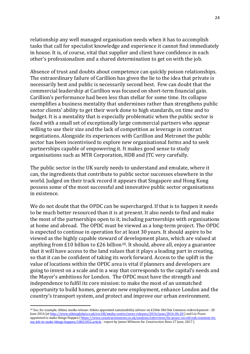relationship any well managed organisation needs when it has to accomplish tasks that call for specialist knowledge and experience it cannot find immediately in house. It is, of course, vital that supplier and client have confidence in each other's professionalism and a shared determination to get on with the job.

Absence of trust and doubts about competence can quickly poison relationships. The extraordinary failure of Carillion has given the lie to the idea that private is necessarily best and public is necessarily second best. Few can doubt that the commercial leadership at Carillion was focused on short-term financial gain. Carillion's performance had been less than stellar for some time. Its collapse exemplifies a business mentality that undermines rather than strengthens public sector clients' ability to get their work done to high standards, on time and to budget. It is a mentality that is especially problematic when the public sector is faced with a small set of exceptionally large commercial partners who appear willing to use their size and the lack of competition as leverage in contract negotiations. Alongside its experiences with Carillion and Metronet the public sector has been incentivised to explore new organisational forms and to seek partnerships capable of empowering it. It makes good sense to study organisations such as MTR Corporation, HDB and JTC very carefully.

The public sector in the UK surely needs to understand and emulate, where it can, the ingredients that contribute to public sector successes elsewhere in the world. Judged on their track record it appears that Singapore and Hong Kong possess some of the most successful and innovative public sector organisations in existence.

We do not doubt that the OPDC can be supercharged. If that is to happen it needs to be much better resourced than it is at present. It also needs to find and make the most of the partnerships open to it, including partnerships with organisations at home and abroad. The OPDC must be viewed as a long-term project. The OPDC is expected to continue in operation for at least 30 years. It should aspire to be viewed as the highly capable steward of development plans, which are valued at anything from £10 billion to £26 billion<sup>[30](#page-23-0)</sup>. It should, above all, enjoy a guarantee that it will have access to the land values that it plays a leading part in creating, so that it can be confident of taking its work forward. Access to the uplift in the value of locations within the OPDC area is vital if planners and developers are going to invest on a scale and in a way that corresponds to the capital's needs and the Mayor's ambitions for London. The OPDC must have the strength and independence to fulfil its core mission: to make the most of an unmatched opportunity to build homes, generate new employment, enhance London and the country's transport system, and protect and improve our urban environment.

 $\overline{a}$ 

<span id="page-23-0"></span><sup>30</sup> See, for example, Atkins media release: Atkins appointed sustainability advisor on £26bn Old Oak Common redevelopment - 20 June 2016 [a[t http://www.atkinsglobal.co.uk/en-GB/media-centre/news-releases/2016/june/2016-06-20](http://www.atkinsglobal.co.uk/en-GB/media-centre/news-releases/2016/june/2016-06-20) ] and Liz Peace appointed to make things Happen [\[ https://www.constructionnews.co.uk/analysis/interviews/liz-peace-on-old-oak-common-its](https://www.constructionnews.co.uk/analysis/interviews/liz-peace-on-old-oak-common-its-my-job-to-make-things-happen/10021052.article)[my-job-to-make-things-happen/10021052.article](https://www.constructionnews.co.uk/analysis/interviews/liz-peace-on-old-oak-common-its-my-job-to-make-things-happen/10021052.article) - report by James Wilmore for *Construction News* 27 June, 2017 ]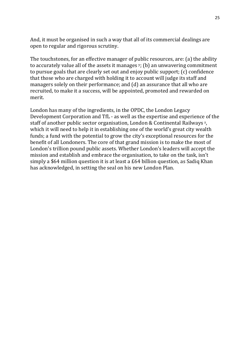And, it must be organised in such a way that all of its commercial dealings are open to regular and rigorous scrutiny.

The touchstones, for an effective manager of public resources, are: (a) the ability to accurately value all of the assets it manages  $y$ ; (b) an unwavering commitment to pursue goals that are clearly set out and enjoy public support; (c) confidence that those who are charged with holding it to account will judge its staff and managers solely on their performance; and (d) an assurance that all who are recruited, to make it a success, will be appointed, promoted and rewarded on merit.

London has many of the ingredients, in the OPDC, the London Legacy Development Corporation and TfL - as well as the expertise and experience of the staff of another public sector organisation, London & Continental Railways z, which it will need to help it in establishing one of the world's great city wealth funds; a fund with the potential to grow the city's exceptional resources for the benefit of all Londoners. The core of that grand mission is to make the most of London's trillion pound public assets. Whether London's leaders will accept the mission and establish and embrace the organisation, to take on the task, isn't simply a \$64 million question it is at least a £64 billion question, as Sadiq Khan has acknowledged, in setting the seal on his new London Plan.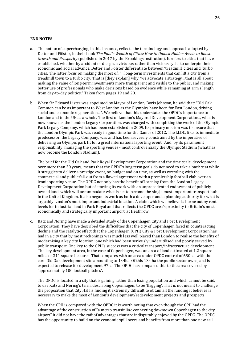#### **END NOTES**

- a. The notion of supercharging, in this instance, reflects the terminology and approach adopted by Detter and Fölster, in their book *The Public Wealth of Cities: How to Unlock Hidden Assets to Boost Growth and Prosperity* (published in 2017 by the Brookings Institution). It refers to cities that have established, whether by accident or design, a virtuous rather than vicious cycle, to underpin their economic and social advance. Detter and Fölster differentiate between 'treadmill' cities and 'turbo' cities. The latter focus on making the most of: "…long-term investments that can lift a city from a treadmill town to a turbo city. That is [they explain] why "we advocate a strategy…that is all about making the value of long-term investments more transparent and visible to the public, and making better use of professionals who make decisions based on evidence while remaining at arm's length from day-to-day politics." Taken from pages 19 and 20.
- b. When Sir Edward Lister was appointed by Mayor of London, Boris Johnson, he said that: "Old Oak Common can be as important to West London as the Olympics have been for East London, driving social and economic regeneration...". We believe that this understates the OPDC's importance to London and to the UK as a whole. The first of London's Mayoral Development Corporations, what is now known as the London Legacy Corporation, was charged with completing the work of the Olympic Park Legacy Company, which had been established in 2009. Its primary mission was to ensure that the London Olympic Park was ready in good time for the Games of 2012. The LLDC, like its immediate predecessor, the Legacy Company, was and has been severely constrained by the imperative of delivering an Olympic park fit for a great international sporting event. And, by its paramount responsibility: managing the sporting venues - most controversially the Olympic Stadium (what has now become the London Stadium).

The brief for the Old Oak and Park Royal Development Corporation and the time scale, development over more than 30 years, means that the OPDC's long term goals do not need to take a back seat while it struggles to deliver a prestige event, on budget and on time, as well as wrestling with the commercial and public fall-out from a flawed agreement with a premiership football club over an iconic sporting venue. The OPDC not only has the benefit of learning from the London Legacy Development Corporation but of starting its work with an unprecedented endowment of publicly owned land, which will accommodate what is set to become the single most important transport hub in the United Kingdom. It also began its work as both a developer and a planning authority for what is arguably London's most important industrial location. A claim which we believe is borne out by rent levels for industrial land in Park Royal and that reflects the OPDC area's proximity to Britain's most economically and strategically important airport, at Heathrow.

c. Katz and Noring have made a detailed study of the Copenhagen City and Port Development Corporation. They have described the difficulties that the city of Copenhagen faced in counteracting decline and the catalytic effect that the Copenhagen (CPH) City & Port Development Corporation has had in a city that by most reckonings was much less well placed than London to realise the benefits of modernising a key city location; one which had been seriously underutilised and poorly served by public transport. One key to the CPH's success was a critical transport/infrastructure development. The key development area, in the case of Copenhagen, was an area of land estimated at 1.2 square miles or 311 square hectares. That compares with an area under OPDC control of 650ha, with the core Old Oak development site amounting to 134ha. Of this 134 ha the public sector owns, and is expected to release for development 97ha. The OPDC has compared this to the area covered by 'approximately 100 football pitches'.

The OPDC is located in a city that is gaining rather than losing population and which cannot be said, to use Katz and Noring's term, describing Copenhagen, to be 'flagging'. That is not meant to challenge the proposition that City Hall is finding it extremely difficult to obtain all the funding it believes is necessary to make the most of London's development/redevelopment projects and prospects.

When the CPH is compared with the OPDC it is worth noting that even though the CPH had the advantage of the construction of "a metro transit line connecting downtown Copenhagen to the city airport" it did not have the raft of advantages that are indisputably enjoyed by the OPDC. The OPDC has the opportunity to build on the economic spill overs and benefits from more than one new rail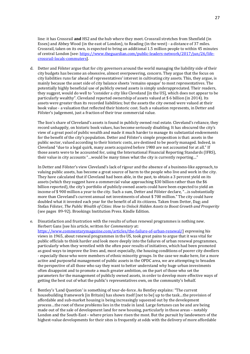line: it has Crossrail **and** HS2 and the hub where they meet. Crossrail stretches from Shenfield (in Essex) and Abbey Wood (in the east of London), to Reading (in the west) - a distance of 37 miles. Crossrail, taken on its own, is expected to bring an additional 1.5 million people to within 45 minutes of central London [see: [https://www.theguardian.com/public-leaders-network/2017/jun/26/life](https://www.theguardian.com/public-leaders-network/2017/jun/26/life-crossrail-locals-commuters)[crossrail-locals-commuters\]](https://www.theguardian.com/public-leaders-network/2017/jun/26/life-crossrail-locals-commuters).

d. Detter and Fölster argue that for city governors around the world managing the liability side of their city budgets has become an obsessive, almost overpowering, concern. They argue that the focus on city liabilities runs far ahead of representatives' interest in cultivating city assets. This, they argue, is mainly because the asset side of city balance sheets 'remains opaque' to most representatives. The potentially highly beneficial use of publicly owned assets is simply underappreciated. Their readers, they suggest, would do well to "consider a city like Cleveland [in the US], which does not appear to be particularly wealthy". Cleveland reported ownership of assets valued at \$ 6 billion (in 2014). Its assets were greater than its recorded liabilities; but the assets the city owned were valued at their book value - a valuation that reflected their historic cost. Such a valuation represents, in Detter and Fölster's judgement, just a fraction of their true commercial value.

The lion's share of Cleveland's assets is found in publicly owned real estate. Cleveland's reliance, they record unhappily, on historic book values, has become seriously disabling. It has obscured the city's view of a great pool of public wealth and made it much harder to manage its substantial endowments for the benefit of the city's population. Detter and Fölster's simple proposition is that: assets in the public sector, valued according to their historic costs, are destined to be poorly managed. Indeed, in Cleveland "due to a legal quirk, many assets acquired before 1980 are not accounted for at all." If those assets were to be accounted for, using the International Financial Reporting Standards (IFRS), their value in city accounts "…would be many times what the city is currently reporting…"

In Detter and Fölster's view Cleveland's lack of rigour and the absence of a business-like approach, to valuing public assets, has become a great source of harm to the people who live and work in the city. They have calculated that if Cleveland had been able, in the past, to obtain a 3 percent yield on its assets (which they suggest have a commercial value approaching \$30 billion rather than the \$6 billion reported), the city's portfolio of publicly owned assets could have been expected to yield an income of \$ 900 million a year to the city. Such a sum, Detter and Fölster declare, "…is substantially more than Cleveland's current annual net investments of about \$ 700 million." The city could have doubled what it invested each year for the benefit of all its citizens. Taken from Detter, Dag; and Stefan Fölster, *The Public Wealth of Cities: How to Unlock Hidden Assets to Boost Growth and Prosperity* (see pages 89-92). Brookings Institution Press. Kindle Edition.

- e. Dissatisfaction and frustration with the results of urban renewal programmes is nothing new. Herbert Gans [see his article, written for *Commentary* at: [https://www.commentarymagazine.com/articles/the-failure-of-urban-renewal/\]](https://www.commentarymagazine.com/articles/the-failure-of-urban-renewal/) expressing his views in 1965, about renewal programmes in the US, took great pains to argue that it was vital for public officials to think harder and look more deeply into the failures of urban renewal programmes, particularly when they wrestled with the often poor results of initiatives, which had been promoted as good ways to improve the lives and, most especially, the housing conditions of poorer city dwellers - especially those who were members of ethnic minority groups. In the case we make here, for a more active and purposeful management of public assets in the OPDC area, we are attempting to broaden the perspective of all those who say they want to better understand why huge urban investments often disappoint and to promote a much greater ambition, on the part of those who set the parameters for the management of publicly owned assets, in order to develop more effective ways of getting the best out of what the public's representatives own, on the community's behalf.
- f. Bentley's 'Land Question' is something of tour-de-force. As Bentley explains: "The current housebuilding framework [in Britain] has shown itself [not to be] up to the task…the provision of affordable and sub-market housing is being increasingly squeezed out by the development process…the root of these problems lies in the trade in land. Large fortunes can be and are being made out of the sale of development land for new housing, particularly in those areas – notably London and the South-East – where prices have risen the most. But the pursuit by landowners of the highest-value developments for their sites is frequently at odds with the delivery of more affordable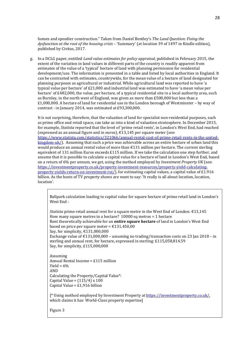homes and speedier construction." Taken from Daniel Bentley's *The Land Question: Fixing the dysfunction at the root of the housing crisis* – 'Summary' (at location 39 of 1497 in Kindle edition), published by Civitas, 2017.

g. In a DCLG paper, entitled *Land value estimates for policy appraisal*, published in February 2015, the extent of the variation in land values in different parts of the country is readily apparent from estimates of the value of a 'typical' hectare of land with planning permission for residential development/use. The information is presented in a table and listed by local authorities in England. It can be contrasted with estimates, countrywide, for the mean value of a hectare of land designated for planning purposes as agricultural or industrial. While agricultural land was reported to have 'a typical value per hectare' of £21,000 and industrial land was estimated to have 'a mean value per hectare' of £482,000, the value, per hectare, of a typical residential site in a local authority area, such as Burnley, in the north west of England, was given as more than £500,000 but less than a £1,000,000. A hectare of land for residential use in the London borough of Westminster – by way of contrast - in January 2014, was estimated at £93,300,000.

It is not surprising, therefore, that the valuation of land for specialist non-residential purposes, such as prime office and retail space, can take us into a kind of valuation stratosphere. In December 2015, for example, *Statista* reported that the level of 'prime retail rents', in London's West End, had reached (expressed as an annual figure and in euros),  $\epsilon$ 13,145 per square meter (see: [https://www.statista.com/statistics/321066/annual-rental-cost-of-prime-retail-rents-in-the-united](https://www.statista.com/statistics/321066/annual-rental-cost-of-prime-retail-rents-in-the-united-kingdom-uk/) $kingdom-uk/$ ). Assuming that such a price was achievable across an entire hectare of urban land this would produce an annual rental value of more than  $\epsilon$ 131 million per hectare. The current sterling equivalent of 131 million Euros exceeds £115 million. If we take the calculation one step further, and assume that it is possible to calculate a capital value for a hectare of land in London's West End, based on a return of 6% per annum, we get, using the method employed by *Investment Property UK* (see: [https://investmentproperty.co.uk/property-investment-resources/property-yield-calculating](https://investmentproperty.co.uk/property-investment-resources/property-yield-calculating-property-yields-return-on-investment-roi/)[property-yields-return-on-investment-roi/\)](https://investmentproperty.co.uk/property-investment-resources/property-yield-calculating-property-yields-return-on-investment-roi/), for estimating capital values, a capital value of £1.916 billion. As the hosts of TV property shows are want to say: 'It really is all about location, location, location'.

Ballpark calculation leading to capital value for square hectare of prime retail land in London's West End :

*Statista* prime retail annual rent for a square metre in the West End of London: €13,145 How many square metres in a hectare? 10000 sq metres = 1 hectare Rent theoretically achievable for an **entire square hectare** of land in London's West End based on price per square meter =  $£131,450,00$ Say, for simplicity,  $£131,000,000$ Exchange value of  $\text{\textsterling}131,000,000$  – assuming no trading/transaction costs on 23 Jan 2018 – in sterling and annual rent, for hectare, expressed in sterling: £115,058,814.59 Say, for simplicity, £115,000,000

```
Assuming
Annual Rental Income = £115 million
Yield = 6%AND
Calculating the Property/Capital Value*:
Capital Value = (115/4) \times 100Capital Value = £1.916 billion
```
[\* Using method employed by Investment Property a[t https://investmentproperty.co.uk/,](https://investmentproperty.co.uk/)  which claims it has World-Class property expertise]

Figure 3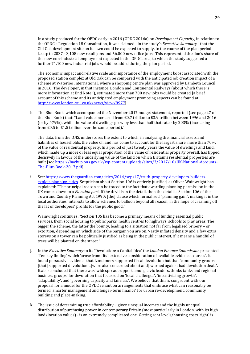In a study produced for the OPDC early in 2016 (OPDC 2016a) on *Development Capacity*, in relation to the OPDC's Regulation 18 Consultation, it was claimed - in the study's *Executive Summary* - that the Old Oak development site on its own could be expected to supply, in the course of the plan period i.e. up to 2037 - 3,108 new retail jobs and 56,000 new office jobs. This represented the lion's share of the new non-industrial employment expected in the OPDC area, to which the study suggested a further 71,100 new industrial jobs would be added during the plan period.

The economic impact and relative scale and importance of the employment boost associated with the proposed station complex at Old Oak can be compared with the anticipated job creation impact of a scheme at Waterloo International, where a shopping centre plan was approved by Lambeth Council in 2016. The developer, in that instance, London and Continental Railways (about which there is more information at End Note<sup>z</sup>), estimated more than 700 new jobs would be created [a brief account of this scheme and its anticipated employment promoting aspects can be found at: [http://www.london-se1.co.uk/news/view/8977\]](http://www.london-se1.co.uk/news/view/8977).

h. The Blue Book, which accompanied the November 2017 budget statement, reported (see page 27 of the Blue Book) that: "Land value increased from £0.7 trillion to £3.9 trillion between 1996 and 2016 (or by 479%), while the value of dwellings grew by less than half that rate - by 203% (increasing from £0.5 to £1.5 trillion over the same period)."

The data, from the ONS, underscores the extent to which, in analysing the financial assets and liabilities of households, the value of land has come to account for the largest share, more than 70%, of the value of residential property. In a period of just twenty years the value of dwellings and land, which made up a more or less equal proportion of the value of residential property overall, has tipped decisively in favour of the underlying value of the land on which Britain's residential properties are built [see [https://backup.ons.gov.uk/wp-content/uploads/sites/3/2017/10/UK-National-Accounts-](https://backup.ons.gov.uk/wp-content/uploads/sites/3/2017/10/UK-National-Accounts-The-Blue-Book-2017.pdf)[The-Blue-Book-2017.pdf\]](https://backup.ons.gov.uk/wp-content/uploads/sites/3/2017/10/UK-National-Accounts-The-Blue-Book-2017.pdf)

i. See[: https://www.theguardian.com/cities/2014/sep/17/truth-property-developers-builders](https://www.theguardian.com/cities/2014/sep/17/truth-property-developers-builders-exploit-planning-cities)[exploit-planning-cities.](https://www.theguardian.com/cities/2014/sep/17/truth-property-developers-builders-exploit-planning-cities) Scepticism about Section 106 is entirely justified, as Oliver Wainwright has explained: "The principal reason can be traced to the fact that awarding planning permission in the UK comes down to a *Faustian pact*. If the devil is in the detail, then the detail is Section 106 of the Town and Country Planning Act 1990; [the] clause which formalised "planning gain", making it in the local authorities' interests to allow schemes to balloon beyond all reason, in the hope of creaming off the fat of developers' profits for the public good."

Wainwright continues: "Section 106 has become a primary means of funding essential public services, from social housing to public parks, health centres to highways, schools to play areas. The bigger the scheme, the fatter the bounty, leading to a situation not far from legalised bribery – or extortion, depending on which side of the bargain you are on. Vastly inflated density and a few extra storeys on a tower can be politically justified as being in the public interest, if it means a handful of trees will be planted on the street."

- j. In the *Executive Summary* to its 'Devolution: a Capital Idea' the *London Finance Commission* presented 'Ten key finding' which 'arose from [its] extensive consideration of available evidence sources'. It found persuasive evidence that Londoners supported fiscal devolution but that 'community groups [that] supported devolution…[were also concerned about and] warned against bad devolution deals'. It also concluded that there was 'widespread support among civic leaders, thinks tanks and regional business groups' for devolution that focussed on 'local challenges', 'incentivising growth', 'adaptability', and 'governing capacity and fairness'. We believe that this is congruent with our proposal for a model for the OPDC reliant on arrangements that embrace what can reasonably be termed 'smarter management and longer-term finance' for urban re-development, community building and place-making.
- k. The issue of determining true affordability given unequal incomes and the highly unequal distribution of purchasing power in contemporary Britain (most particularly in London, with its high land/location values) - is an extremely complicated one. Getting rent levels/housing costs 'right' is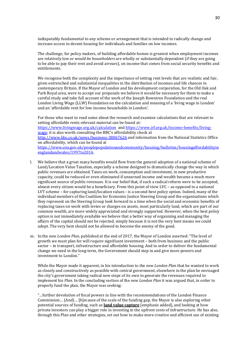indisputably fundamental to any scheme or arrangement that is intended to radically change and increase access to decent housing for individuals and families on low incomes.

The challenge, for policy makers, of building affordable homes is greatest when employment incomes are relatively low or *would-be householders* are wholly or substantially dependent (if they are going to be able to pay their rent and avoid arrears), on income that comes from social security benefits and entitlements.

We recognise both the complexity and the importance of setting rent levels that are realistic and fair, given entrenched and substantial inequalities in the distribution of incomes and life chances in contemporary Britain. If the Mayor of London and his development corporation, for the Old Oak and Park Royal area, were to accept our proposals we believe it would be necessary for them to make a careful study and take full account of the work of the Joseph Rowntree Foundation and the real London Living Wage (LLW) Foundation on the calculation and meaning of a 'living wage in London' and an 'affordable rent for low income households in London'.

For those who want to read some about the research and examine calculations that are relevant to setting affordable rents relevant material can be found at: <https://www.livingwage.org.uk/calculation> an[d https://www.jrf.org.uk/income-benefits/living](https://www.jrf.org.uk/income-benefits/living-wage)[wage;](https://www.jrf.org.uk/income-benefits/living-wage) it is also worth consulting the BBC's affordability check at <http://www.bbc.co.uk/news/business-38067626> and information from the National Statistics Office on affordability, which can be found at [https://www.ons.gov.uk/peoplepopulationandcommunity/housing/bulletins/housingaffordabilityin](https://www.ons.gov.uk/peoplepopulationandcommunity/housing/bulletins/housingaffordabilityinenglandandwales/1997to2016) [englandandwales/1997to2016.](https://www.ons.gov.uk/peoplepopulationandcommunity/housing/bulletins/housingaffordabilityinenglandandwales/1997to2016)

- l. We believe that a great many benefits would flow from the general adoption of a national scheme of Land/Location Value Taxation, especially a scheme designed to dramatically change the way in which public revenues are obtained. Taxes on work, consumption and investment, in new productive capacity, could be reduced or even eliminated if unearned income and wealth became a much more significant source of public revenues. It is our belief that, if such a radical reform were to be accepted, almost every citizen would be a beneficiary. From this point of view LVC – as opposed to a national LVT scheme – for capturing land/location values - is a second-best policy option. Indeed, many of the individual members of the Coalition for Economic Justice Steering Group and the organisations which they represent on the Steering Group look forward to a time when the social and economic benefits of replacing taxes on work with levies or charges on assets, most particularly land, which are part of our common wealth, are more widely appreciated and strongly supported. However, when the best policy option is not immediately available we believe that a better way of organising and managing the affairs of the capital should not be rejected, simply because it is not the very best means we could adopt. The very best should not be allowed to become the enemy of the good.
- m. In the *new London Plan*, published at the end of 2017, the Mayor of London asserted: "The level of growth we must plan for will require significant investment – both from business and the public sector – in transport, infrastructure and affordable housing. And in order to deliver the fundamental change we need in the long-term, the Government should step in and give more powers and investment to London."

While the Mayor made it apparent, in his introduction to the *new London Plan* that he wanted to work as closely and constructively as possible with central government, elsewhere in the plan he envisaged the city's government taking radical new steps of its own to generate the revenues required to implement his *Plan*. In the concluding section of the *new London Plan* it was argued that, in order to properly fund the plan, the Mayor was seeking:

"…further devolution of fiscal powers in line with the recommendations of the London Finance Commission… (And)… [b]ecause of the scale of the funding gap, the Mayor is also exploring other potential sources of funding, such as **land value capture** [emphasis added], and looking at how private investors can play a bigger role in investing in the upfront costs of infrastructure. He has also, through this Plan and other strategies, set out how to make more creative and efficient use of existing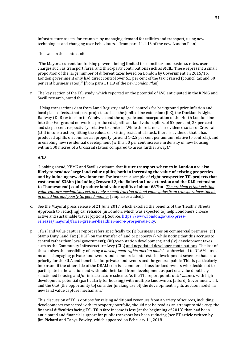infrastructure assets, for example, by managing demand for utilities and transport, using new technologies and changing user behaviours." [from para 11.1.13 of the new London Plan]

This was in the context of:

"The Mayor's current fundraising powers [being] limited to council tax and business rates, user charges such as transport fares, and third-party contributions such as *M*CIL. These represent a small proportion of the large number of different taxes levied on London by Government. In 2015/16, London government only had direct control over 5.1 per cent of the tax it raised (council tax and 50 per cent business rates)." [from para 11.1.9 of the *new London Plan*]

n. The key section of the TfL study, which reported on the potential of LVC anticipated in the KPMG and Savill research, noted that:

"Using transactions data from Land Registry and local controls for background price inflation and local place effects…that past projects such as the Jubilee line extension (JLE), the Docklands Light Railway (DLR) extension to Woolwich and the upgrade and incorporation of the North London line into the Overground network … produced significant land value uplifts, of 52 per cent, 23 per cent and six per cent respectively, relative to controls. While there is no clear evidence so far of Crossrail (still in construction) lifting the values of existing residential stock, there is evidence that it has produced uplifts on commercial property (around 1-2.5 per cent per annum relative to controls), and in enabling new residential development (with a 50 per cent increase in density of new housing within 500 metres of a Crossrail station compared to areas further away)."

#### AND

"Looking ahead, KPMG and Savills estimate that **future transport schemes in London are also likely to produce large land value uplifts, both in increasing the value of existing properties and by inducing new development**. For instance, a sample of **eight prospective TfL projects that cost around £36bn (including Crossrail 2, the Bakerloo line extension and the DLR extension to Thamesmead) could produce land value uplifts of about £87bn**. *The problem is that existing value capture mechanisms extract only a small fraction of land value gains from transport investment, in an ad hoc and poorly targeted manner* [emphases added]."

- o. See the Mayoral press release of 21 June 2017, which extolled the benefits of the 'Healthy Streets Approach to reduc[ing] car reliance [in London, which was expected to] help Londoners choose active and sustainable travel [options]. Source[: https://www.london.gov.uk/press](https://www.london.gov.uk/press-releases/mayoral/fairer-greener-healthier-more-prosperous-city)[releases/mayoral/fairer-greener-healthier-more-prosperous-city.](https://www.london.gov.uk/press-releases/mayoral/fairer-greener-healthier-more-prosperous-city)
- p. TfL's land value capture report refers specifically to: (i) business rates on commercial premises; (ii) Stamp Duty Land Tax (SDLT) on the transfer of land or property (- while noting that this accrues to central rather than local government); (iii) over-station development; and (iv) development taxes such as the Community Infrastructure Levy (CIL) and negotiated developer contributions. The last of these raises the possibility of using a *development rights auction model* – abbreviated to DRAM – as a means of engaging private landowners and commercial interests in development schemes that are a priority for the GLA and beneficial for private landowners and the general public. This is particularly important if the other side of the DRAM coin is a commercial loss for landowners who decide not to participate in the auction and withhold their land from development as part of a valued publicly sanctioned housing and/or infrastructure scheme. As the TfL report points out: "…zones with high development potential (particularly for housing) with multiple landowners [afford] Government, TfL and the GLA [the opportunity to] consider [making use of] the development rights auction model…a new land value capture mechanism."

This discussion of TfL's options for raising additional revenues from a variety of sources, including developments connected with its property portfolio, should not be read as an attempt to side-step the financial difficulties facing TfL. TfL's fare income is less (at the beginning of 2018) than had been anticipated and financial support for public transport has been reducing (see FT article written by Jim Pickard and Tanya Powley, which appeared on February 11, 2018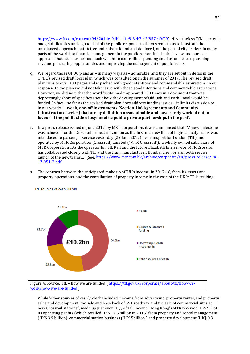[https://www.ft.com/content/946204de-0dbb-11e8-8eb7-42f857ea9f09\)](https://www.ft.com/content/946204de-0dbb-11e8-8eb7-42f857ea9f09). Nevertheless TfL's current budget difficulties and a good deal of the public response to them seems to us to illustrate the unbalanced approach that Detter and Fölster found and deplored, on the part of city leaders in many parts of the world, to financial management in the public sector. It is, in their view and ours, an approach that attaches far too much weight to controlling spending and far too little to pursuing revenue generating opportunities and improving the management of public assets.

- q. We regard those OPDC plans as in many ways as admirable, and they are set out in detail in the OPDC's revised draft local plan, which was consulted on in the summer of 2017. The revised draft plan runs to over 300 pages and is packed with good intentions and commendable aspirations. In our response to the plan we did not take issue with those good intentions and commendable aspirations. However, we did note that the word 'sustainable' appeared 160 times in a document that was depressingly short of specifics about how the development of Old Oak and Park Royal would be funded. In fact – so far as the revised draft plan does address funding issues – it limits discussion to, in our words: '…**weak, one-off instruments (Section 106 Agreements and Community Infrastructure Levies) that are by definition unsustainable and have rarely worked out in favour of the public side of asymmetric public-private partnerships in the past**'.
- r. In a press release issued in June 2017, by MRT Corporation, it was announced that: "A new milestone was achieved for the Crossrail project in London as the first in a new fleet of high-capacity trains was introduced to passenger service yesterday (22 June 2017) by Transport for London (TfL) and operated by MTR Corporation (Crossrail) Limited ("MTR Crossrail"), a wholly owned subsidiary of MTR Corporation…As the operator for TfL Rail and the future Elizabeth line service, MTR Crossrail has collaborated closely with TfL and the train manufacturer, Bombardier, for a smooth service launch of the new trains..." [See[: https://www.mtr.com.hk/archive/corporate/en/press\\_release/PR-](https://www.mtr.com.hk/archive/corporate/en/press_release/PR-17-051-E.pdf)[17-051-E.pdf\]](https://www.mtr.com.hk/archive/corporate/en/press_release/PR-17-051-E.pdf)
- s. The contrast between the anticipated make up of TfL's income, in 2017-18, from its assets and property operations, and the contribution of property income in the case of the HK MTR is striking:



TfL sources of cash 2017/18

Figure 4, Source: TfL – how we are funded [ [https://tfl.gov.uk/corporate/about-tfl/how-we](https://tfl.gov.uk/corporate/about-tfl/how-we-work/how-we-are-funded)[work/how-we-are-funded](https://tfl.gov.uk/corporate/about-tfl/how-we-work/how-we-are-funded) ]

While 'other sources of cash', which included "income from advertising, property rental, and property sales and development, the sale and leaseback of 55 Broadway and the sale of commercial sites at new Crossrail stations", made up just over 10% of TfL income, Hong Kong's MTR received HK\$ 9.2 of its operating profits (which totalled HK\$ 17.6 billion in 2016) from property and rental management (HK\$ 3.9 billion), commercial station business (HK\$ 5billion ) and property development (HK\$ 0.3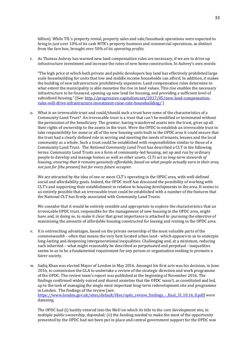billion). While TfL's property rental, property sales and sale/leaseback operations were expected to bring in just over 10% of its cash MTR's property business and commercial operations, as distinct from the fare box, brought over 50% of its *operating profits*.

t. As Thomas Aubrey has warned new land compensation rules are necessary, if we are to drive up infrastructure investment and increase the rates of new home construction. In Aubrey's own words:

"The high price at which both private and public developers buy land has effectively prohibited large scale housebuilding for units that low and middle income households can afford. In addition, it makes the building of new infrastructure prohibitively expensive. Land compensation rules determine to what extent the municipality is able monetise the rise in land values. This rise enables the necessary infrastructure to be financed, opening up new land for housing, and providing a sufficient level of subsidised housing." [See[: http://progressive-capitalism.net/2017/05/new-land-compensation](http://progressive-capitalism.net/2017/05/new-land-compensation-rules-will-drive-infrastructure-investment-raise-rate-housebuilding/)[rules-will-drive-infrastructure-investment-raise-rate-housebuilding/](http://progressive-capitalism.net/2017/05/new-land-compensation-rules-will-drive-infrastructure-investment-raise-rate-housebuilding/) ]

u. What is an irrevocable trust and could/should such a trust have some of the characteristics of a Community Land Trust? An irrevocable trust is a trust that can't be modified or terminated without the permission of the beneficiary. The grantor, having transferred assets into the trust, gives up all their rights of ownership to the assets in the trust. Were the OPDC to establish an irrevocable trust to take responsibility for some or all of the new housing units built in the OPDC area it could ensure that the trust had a clearly defined role in serving and meeting the needs of tenants, lessees and the local community as a whole. Such a trust could be established with responsibilities similar to those of a Community Land Trust. The *National Community Land Trust* has described a CLT in the following terms: Community Land Trusts are a form of community-led housing, set up and run by ordinary people to develop and manage homes as well as other assets. *CLTs act as long-term stewards of housing, ensuring that it remains genuinely affordable, based on what people actually earn in their area, not just for [the present] but for every future occupier*.

We are attracted by the idea of one or more CLT's operating in the OPDC area, with well-defined social and affordability goals. Indeed, the OPDC itself has discussed the possibility of working with CLT's and supporting their establishment in relation to housing developments in the area. It seems to us entirely possible that an irrevocable trust could be established with a number of the features that the National CLT has firmly associated with Community Land Trusts.

We consider that it would be entirely sensible and appropriate to explore the characteristics that an irrevocable OPDC trust, responsible for the management of new housing in the OPDC area, might have and, in doing so, to make it clear that great importance is attached to: pursuing the objective of maximising the amounts of affordable housing constructed for leasing and renting in the OPDC area.

- v. It is entrenching advantages, based on the private ownership of the most valuable parts of the *commonwealth* – often that means the very best located urban land - which appears to us to underpin long-lasting and deepening intergenerational inequalities. Challenging and, at a minimum, reducing such inherited – what might reasonably be described as perpetuated and perpetual - inequalities seems to us to be a fundamental requirement for any person or organisation seeking to promote a fairer society.
- w. Sadiq Khan was elected Mayor of London in May 2016. Amongst his first acts was his decision, in June 2016, to commission the GLA to undertake a review of the strategic direction and work programme of the OPDC. The review team's report was published at the beginning of November 2016. The findings confirmed widely voiced and shared anxieties that the OPDC wasn't, as constituted and led, up to the task of managing the single most important long-term redevelopment site and programme in London. The findings of the review [see:

[https://www.london.gov.uk/sites/default/files/opdc\\_review\\_findings\\_-\\_final\\_31.10.16\\_0.pdf\]](https://www.london.gov.uk/sites/default/files/opdc_review_findings_-_final_31.10.16_0.pdf) were damning.

The OPDC had (i) hastily entered into the MoU on which its title to the core development site, in multiple public ownership, depended; (ii) the funding needed to make the most of the opportunity presented by the OPDC had not been put in place and central government support for the OPDC was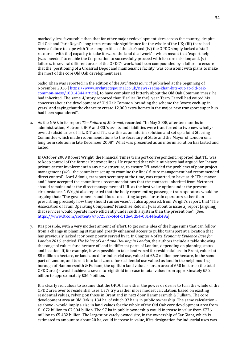markedly less favourable than that for other major redevelopment sites across the country, despite Old Oak and Park Royal's long term economic significance for the whole of the UK; (iii) there had been a failure to cope with 'the complexities of the site'; and (iv) the OPDC simply lacked a 'staff resource [with the] capacity to take forward the land deal work' – which meant that 'expert help [was] needed' to enable the Corporation to successfully proceed with its core mission; and, (y) failures, in several different areas of the OPDC's work, had been compounded by a failure to ensure that the 'positioning of a Crossrail Depot and maintenance facility' was consistent with plans to make the most of the core Old Oak development area.

Sadiq Khan was reported, in the edition of the *Architects Journal* published at the beginning of November 2016 [ [https://www.architectsjournal.co.uk/news/sadiq-khan-hits-out-at-old-oak](https://www.architectsjournal.co.uk/news/sadiq-khan-hits-out-at-old-oak-common-mess/10014344.article)[common-mess/10014344.article\]](https://www.architectsjournal.co.uk/news/sadiq-khan-hits-out-at-old-oak-common-mess/10014344.article), to have complained bitterly about the Old Oak Common 'mess' he had inherited. The same *AJ* story reported that "Earlier [in the] year Terry Farrell had voiced his concerns about the development of Old Oak Common, branding the scheme the 'worst cock-up in years' and saying that the chance to create 12,000 extra homes in the major new transport super hub had been squandered".

x. As the NAO, in its report *The Failure of Metronet*, recorded: "In May 2008, after ten months in administration, Metronet BCV and SSL's assets and liabilities were transferred to two new whollyowned subsidiaries of TfL. DfT and TfL saw this as an interim solution and set up a Joint Steering Committee which made recommendations to the Secretary of State and the Mayor of London on a long term solution in late December 2008". What was presented as an interim solution has lasted and lasted.

In October 2009 Robert Wright, the Financial Times transport correspondent, reported that TfL was to keep control of the former Metronet lines. He reported that while ministers had argued for "heavy private-sector involvement in any new structure, to ensure TfL avoided the problems of poor project management (*sic*)…the committee set up to examine the lines' future management had recommended direct control". Lord Adonis, transport secretary at the time, was reported, to have said: "The mayor and I have accepted the committee's recommendations that the contracts inherited from Metronet should remain under the direct management of LUL as the best value option under the present circumstances". Wright also reported that the body representing passenger train operators would be arguing that: "The government should focus on setting targets for train operators rather than prescribing precisely how they should run services". It also appeared, from Wright's report, that "The Association of Train Operating Companies' Franchise Reform [was about to issue a] report [arguing] that services would operate more efficiently under such a system than the present one". [See: [https://www.ft.com/content/4767257c-c4c4-11de-8d54-00144feab49a\]](https://www.ft.com/content/4767257c-c4c4-11de-8d54-00144feab49a)

y. It is possible, with a very modest amount of effort, to get some idea of the huge sums that can follow from a change in planning status and greatly enhanced access to public transport at a location that has previously lacked it or been poorly served by it. In Chapter 4 of its *Economic Evidence Base for London 2016*, entitled *The Value of Land and Housing in London*, the authors include a table showing the range of values for a hectare of land in different parts of London, depending on planning status and location. If, for example, it was possible to take land zoned for residential use in Brent, valued at £8 million a hectare, or land zoned for industrial use, valued at £6.2 million per hectare, in the same part of London, and turn it into land zoned for residential use valued as land in the neighbouring borough of Hammersmith & Fulham, the uplift in land values - for an area of 650 hectares (the total OPDC area) - would achieve a seven to eightfold increase in total value: from approximately £5.2 billion to approximately £36.4 billion.

It is clearly ridiculous to assume that the OPDC has either the power or desire to turn the whole of the OPDC area over to residential uses. Let's try a rather more modest calculation, based on existing residential values, relying on those in Brent and in next door Hammersmith & Fulham. The core development area at Old Oak is 134 ha, of which 97 ha is in public ownership. The same calculation as above - would imply a rise in land values for the whole of the Old Oak core development area from £1.072 billion to £7.504 billion. The 97 ha in public ownership would increase in value from £776 million to £5.432 billion. The largest privately owned site, in the ownership of Car Giant, which is estimated to amount to about 20 ha, could increase in value, if its designation for industrial uses was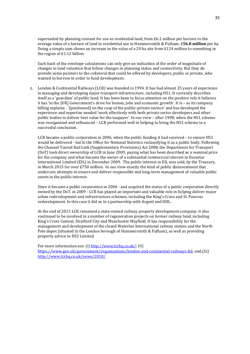superseded by planning consent for use as residential land, from £6.2 million per hectare to the average value of a hectare of land in residential use in Hammersmith & Fulham: £**56.8 million** per ha. Doing a simple sum shows an increase in the value of a 20 ha site from £124 million to something in the region of £1.12 billion.

Such back of the envelope calculations can only give an indication of the order of magnitude of changes in land valuation that follow changes in planning status and connectivity. But they do provide some pointers to the collateral that could be offered by developers, public or private, who wanted to borrow in order to fund development.

z. London & Continental Railways (LCR) was founded in 1994. It has had almost 25 years of experience in managing and developing major transport infrastructure, including HS1. It currently describes itself as a 'guardian' of public land. It has been keen to focus attention on the positive role it believes it has 'in the [UK] Government's drive for homes, jobs and economic growth'. It is – as its company billing explains - '[positioned] on the cusp of the public-private sectors' and has developed the experience and expertise needed 'work effectively with both private sector developers and other public bodies to deliver best value for the taxpayer'. In our view – after 1998, when the HS1 scheme was reorganised and refinanced – LCR performed well in helping to bring the HS1 scheme to a successful conclusion.

LCR became a public corporation in 2006, when the public funding it had received – to ensure HS1 would be delivered - led to the Office for National Statistics reclassifying it as a public body. Following the Channel Tunnel Rail Link (Supplementary Provisions) Act 2008, the Department for Transport (DoT) took direct ownership of LCR in June 2009, paying what has been described as a nominal price for the company and what became the owner of a substantial commercial interest in Eurostar International Limited (EIL) in December 2009. The public interest in EIL was sold, by the Treasury, in March 2015 for over £750 million. In our view exactly the kind of public disinvestment that undercuts attempts to ensure and deliver responsible and long-term management of valuable public assets in the public interest.

Since it became a public corporation in 2006 - and acquired the status of a public corporation directly owned by the DoT, in 2009 - LCR has played an important and valuable role in helping deliver major urban redevelopment and infrastructure schemes, including the King's Cross and St. Pancras redevelopment. In this case it did so in a partnership with Argent and DHL.

At the end of 2015 LCR remained a state-owned railway property development company; it also continued to be involved in a number of regeneration projects on former railway land, including King's Cross Central, Stratford City and Manchester Mayfield. It has responsibility for the management and development of the closed Waterloo International railway station and the North Pole depot (situated in the London borough of Hammersmith & Fulham), as well as providing property advice to HS2 Limited.

For more information see: (i[\) http://www.lcrhq.co.uk/;](http://www.lcrhq.co.uk/) (ii) h[ttps://www.gov.uk/government/organisations/london-and-continental-railways-ltd;](https://www.gov.uk/government/organisations/london-and-continental-railways-ltd) and,(iii) <http://www.lcrhq.co.uk/news/2018/>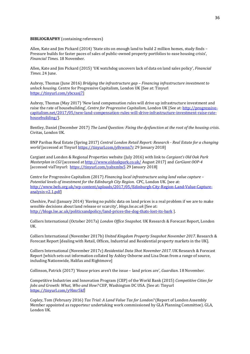#### **BIBLIOGRAPHY** (containing references)

Allen, Kate and Jim Pickard (2014) 'State sits on enough land to build 2 million homes, study finds -Pressure builds for faster paces of sales of public-owned property portfolios to ease housing crisis', *Financial Times*. 18 November.

Allen, Kate and Jim Pickard (2015) 'UK watchdog uncovers lack of data on land sales policy', *Financial Times*. 24 June.

Aubrey, Thomas (June 2016) *Bridging the infrastructure gap – Financing infrastructure investment to unlock housing*. Centre for Progressive Capitalism, London UK [See at: Tinyurl [https://tinyurl.com/ybcxasj7\]](https://tinyurl.com/ybcxasj7)

Aubrey, Thomas (May 2017) 'New land compensation rules will drive up infrastructure investment and raise the rate of housebuilding', *Centre for Progressive Capitalism*, London UK [See at: [http://progressive](http://progressive-capitalism.net/2017/05/new-land-compensation-rules-will-drive-infrastructure-investment-raise-rate-housebuilding/)[capitalism.net/2017/05/new-land-compensation-rules-will-drive-infrastructure-investment-raise-rate](http://progressive-capitalism.net/2017/05/new-land-compensation-rules-will-drive-infrastructure-investment-raise-rate-housebuilding/)[housebuilding/\]](http://progressive-capitalism.net/2017/05/new-land-compensation-rules-will-drive-infrastructure-investment-raise-rate-housebuilding/).

Bentley, Daniel (December 2017) *The Land Question: Fixing the dysfunction at the root of the housing crisis*. Civitas, London UK.

BNP Paribas Real Estate (Spring 2017) *Central London Retail Report: Research - Real Estate for a changing world* [accessed at Tinyurl<https://tinyurl.com/y8vwnn7r> 29 January 2018]

Cargiant and London & Regional Properties website (July 2016) with link to *Cargiant's Old Oak Park Masterplan in CGI* [accessed a[t http://www.oldoakpark.co.uk/](http://www.oldoakpark.co.uk/) August 2017] and *CarGiant OOP-4* [accessed viaTinyurl:<https://tinyurl.com/yabxmbs5> 29 January 2018]

Centre for Progressive Capitalism (2017) *Financing local infrastructure using land value capture – Potential levels of investment for the Edinburgh City Region*. CPC, London UK. [see at: [http://www.befs.org.uk/wp-content/uploads/2017/05/Edinburgh-City-Region-Land-Value-Capture](http://www.befs.org.uk/wp-content/uploads/2017/05/Edinburgh-City-Region-Land-Value-Capture-analysis-v2.1.pdf)[analysis-v2.1.pdf\]](http://www.befs.org.uk/wp-content/uploads/2017/05/Edinburgh-City-Region-Land-Value-Capture-analysis-v2.1.pdf)

Cheshire, Paul (January 2014) 'Having no public data on land prices is a real problem if we are to make sensible decisions about land release or scarcity', *blogs.lse.ac.uk* [See at: <http://blogs.lse.ac.uk/politicsandpolicy/land-prices-the-dog-thats-lost-its-bark> ].

Colliers International (October 2017a) *London Office Snapshot*. UK Research & Forecast Report, London UK.

Colliers International (November 2017b) *United Kingdom Property Snapshot November 2017*. Research & Forecast Report [dealing with Retail, Offices, Industrial and Residential property markets in the UK].

Colliers International (November 2017c) *Residential Data Shot November 2017*. UK Research & Forecast Report [which sets out information collated by Ashley Osborne and Lisa Dean from a range of source, including Nationwide, Halifax and Rightmove]

Collinson, Patrick (2017) 'House prices aren't the issue – land prices are', *Guardian*. 18 November.

Competitive Industries and Innovation Program (CIIP) of the World Bank (2015) *Competitive Cities for Jobs and Growth: What, Who and How?* CIIP, Washington DC USA. [See at: Tinyurl [https://tinyurl.com/y9lmr5kf\]](https://tinyurl.com/y9lmr5kf)

Copley, Tom (February 2016) *Tax Trial: A Land Value Tax for London?* (Report of London Assembly Member appointed as rapporteur undertaking work commissioned by GLA Planning Committee). GLA, London UK.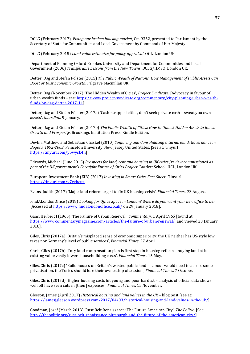DCLG (February 2017), *Fixing our broken housing market*, Cm 9352, presented to Parliament by the Secretary of State for Communities and Local Government by Command of Her Majesty.

DCLG (February 2015) *Land value estimates for policy appraisal*. OGL, London UK.

Department of Planning Oxford Brookes University and Department for Communities and Local Government (2006) *Transferable Lessons from the New Towns*. DCLG/HMSO, London UK.

Detter, Dag and Stefan Fölster (2015) *The Public Wealth of Nations: How Management of Public Assets Can Boost or Bust Economic Growth*. Palgrave Macmillan UK.

Detter, Dag (November 2017) 'The Hidden Wealth of Cities', *Project Syndicate*. [Advocacy in favour of urban wealth funds – see[: https://www.project-syndicate.org/commentary/city-planning-urban-wealth](https://www.project-syndicate.org/commentary/city-planning-urban-wealth-funds-by-dag-detter-2017-11)[funds-by-dag-detter-2017-11\]](https://www.project-syndicate.org/commentary/city-planning-urban-wealth-funds-by-dag-detter-2017-11)

Detter, Dag and Stefan Fölster (2017a) 'Cash-strapped cities, don't seek private cash – sweat you own assets', *Guardian*. 9 January.

Detter, Dag and Stefan Fölster (2017b) *The Public Wealth of Cities: How to Unlock Hidden Assets to Boost Growth and Prosperity*. Brookings Institution Press. Kindle Edition.

Devlin, Matthew and Sebastian Chaskel (2010) *Conjuring and Consolidating a turnaround: Governance in Bogotá, 1992-2003*. Princeton University, New Jersey United States. [See at: Tinyurl [https://tinyurl.com/ybwysk4n\]](https://tinyurl.com/ybwysk4n)

Edwards, Michael (June 2015) *Prospects for land, rent and housing in UK cities (review commissioned as part of the UK government's Foresight Future of Cities Project*. Bartlett School, UCL, London UK.

European Investment Bank (EIB) (2017) *Investing in Smart Cities Fact Sheet*. Tinyurl: <https://tinyurl.com/y7egkeuz> .

Evans, Judith (2017) 'Major land reform urged to fix UK housing crisis', *Financial Times*. 23 August.

FindALondonOffice (2018) *Looking for Office Space in London? Where do you want your new office to be?* [Accessed at<https://www.findalondonoffice.co.uk/> on 29 January 2018].

Gans, Herbert J (1965) 'The Failure of Urban Renewal', *Commentary*, 1 April 1965 [found at <https://www.commentarymagazine.com/articles/the-failure-of-urban-renewal/> and viewed 23 January 2018].

Giles, Chris (2017a) 'Britain's misplaced sense of economic superiority: the UK neither has US-style low taxes nor Germany's level of public services', *Financial Times*. 27 April.

Chris, Giles (2017b) 'Tory land compensation plan is first step in housing reform – buying land at its existing value vastly lowers housebuilding costs', *Financial Times*. 15 May.

Giles, Chris (2017c) 'Build houses on Britain's wasted public land – Labour would need to accept some privatisation, the Tories should lose their ownership obsession', *Financial Times*. 7 October.

Giles, Chris (2017d) 'Higher housing costs hit young and poor hardest – analysis of official data shows well off have seen cuts in [their] expenses', *Financial Times*. 15 November.

Gleeson, James (April 2017) *Historical housing and land values in the UK* – blog post [see at: [https://jamesjgleeson.wordpress.com/2017/04/03/historical-housing-and-land-values-in-the-uk/\]](https://jamesjgleeson.wordpress.com/2017/04/03/historical-housing-and-land-values-in-the-uk/)

Goodman, Josef (March 2013) 'Rust Belt Renaissance: The Future American City', *The Politic*. [See: [http://thepolitic.org/rust-belt-renaissance-pittsburgh-and-the-future-of-the-american-city/\]](http://thepolitic.org/rust-belt-renaissance-pittsburgh-and-the-future-of-the-american-city/)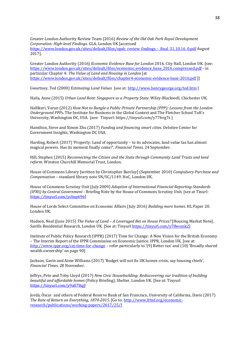Greater London Authority Review Team (2016) *Review of the Old Oak Park Royal Development Corporation: High-level Findings*. GLA, London UK [accessed [https://www.london.gov.uk/sites/default/files/opdc\\_review\\_findings\\_-\\_final\\_31.10.16\\_0.pdf](https://www.london.gov.uk/sites/default/files/opdc_review_findings_-_final_31.10.16_0.pdf) August 2017].

Greater London Authority (2016) *Economic Evidence Base for London* 2016. City Hall, London UK. [see: [https://www.london.gov.uk/sites/default/files/economic\\_evidence\\_base\\_2016.compressed.pdf](https://www.london.gov.uk/sites/default/files/economic_evidence_base_2016.compressed.pdf) - in particular Chapter 4: *The Value of Land and Housing in London* [at <https://www.london.gov.uk/sites/default/files/chapter4-economic-evidence-base-2016.pdf> ]]

Gwartney, Ted (2000) *Estimating Land Values* [see at[: http://www.henrygeorge.org/ted.htm](http://www.henrygeorge.org/ted.htm) ]

Haila, Anne (2015) *Urban Land Rent: Singapore as a Property State*. Wiley-Blackwell, Chichester UK.

Hallikeri, Varun (2012) *How Not to Bungle a Public-Private Partnership (PPP): Lessons from the London Underground PPPs*. The Institute for Business in the Global Context and The Fletcher School Tuft's University, Washington DC, USA. [see: Tinyurl: https://tinyurl.com/y77hvg7z ]

Hamilton, Steve and Ximon Zhu (2017) *Funding and financing smart cities*. Deloitee Center for Government Insights, Washington DC USA.

Harding, Robert (2017) 'Property: Land of opportunity – to its advocates, land value tax has almost magical powers. Has its moment finally come?', *Financial Times*. 24 September.

Hill, Stephen (2015) *Reconnecting the Citizen and the State through Community Land Trusts and land reform*. Winston Churchill Memorial Trust, London.

House of Commons Library [written by Christopher Barclay] (September 2010) *Compulsory Purchase and Compensation* – standard library note SN/SC/1149. HoC, London UK.

House of Commons Scrutiny Unit (July 2009) *Adoption of International Financial Reporting Standards (IFRS) by Central Government* - Briefing Note by the House of Commons Scrutiny Unit. [see at Tinurl: [https://tinyurl.com/ycbzp696\]](https://tinyurl.com/ycbzp696)

House of Lords Select Committee on Economic Affairs (July 2016) *Building more homes*. HL Paper 20. London UK.

Hudson, Neal (June 2015) *The Value of Land – A Leveraged Bet on House Prices?* [Housing Market Note]. Savills Residential Research, London UK. [See at: Tinyur[l https://tinyurl.com/y78wsmk2\]](https://tinyurl.com/y78wsmk2)

Institute of Public Policy Research (IPPR) (2017) Time for Change: A New Vision for the British Economy – The Interim Report of the IPPR Commission on Economic Justice. IPPR, London UK. [see at: <http://www.ippr.org/cej-time-for-change>- refer particularly to '(9) Better tax' and (10) 'Broadly shared wealth ownership' on page 90]

Jackson, Gavin and Aime Williams (2017) 'Budget will not fix UK homes crisis, say housing chiefs', *Financial Times*. 28 November.

Jeffrys, Pete and Toby Lloyd (2017) *New Civic Housebuilding: Rediscovering our tradition of building beautiful and affordable homes* (Policy Briefing), Shelter, London UK. [See at: Tinyurl [https://tinyurl.com/y9a878qj\]](https://tinyurl.com/y9a878qj)

Jordà, Òscar and others of Federal Reserve Bank of San Francisco, University of California, Davis (2017) *The Rate of Return on Everything, 1870-2015*. [Go to: [http://www.frbsf.org/economic](http://www.frbsf.org/economic-research/publications/working-papers/2017/25/)[research/publications/working-papers/2017/25/\]](http://www.frbsf.org/economic-research/publications/working-papers/2017/25/)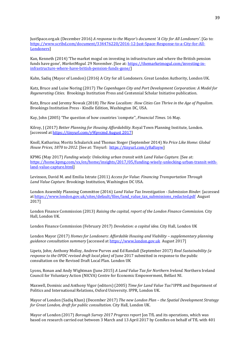JustSpace.org.uk (December 2016) *A response to the Mayor's document 'A City for All Londoners'*. [Go to: [https://www.scribd.com/document/334476220/2016-12-Just-Space-Response-to-a-City-for-All-](https://www.scribd.com/document/334476220/2016-12-Just-Space-Response-to-a-City-for-All-Londoners)[Londoners\]](https://www.scribd.com/document/334476220/2016-12-Just-Space-Response-to-a-City-for-All-Londoners)

Kan, Kenneth (2014) 'The market mogul on investing in infrastructure and where the British pension funds have gone', *MarketMogul*. 29 November. [See at[: https://themarketmogul.com/investing-in](https://themarketmogul.com/investing-in-infrastructure-where-have-british-pension-funds-gone/)[infrastructure-where-have-british-pension-funds-gone/\]](https://themarketmogul.com/investing-in-infrastructure-where-have-british-pension-funds-gone/)

Kahn, Sadiq (Mayor of London) (2016) A City for all Londoners. Great London Authority, London UK.

Katz, Bruce and Luise Noring (2017) *The Copenhagen City and Port Development Corporation: A Model for Regenerating Cities*. Brookings Institution Press and Centennial Scholar Initiative publication.

Katz, Bruce and Jeremy Nowak (2018) *The New Localism: How Cities Can Thrive in the Age of Populism*. Brookings Institution Press - Kindle Edition, Washington DC, USA.

Kay, John (2005) 'The question of how countries 'compete'', *Financial Times*. 16 May.

Kilroy, J (2017) *Better Planning for Housing Affordability*. Royal Town Planning Institute, London. [accessed at [https://tinyurl.com/y9fpvcmd August 2017\]](https://tinyurl.com/y9fpvcmd%20August%202017)

Knoll, Katharina; Moritz Schularick and Thomas Steger (September 2014) *No Price Like Home: Global House Prices, 1870 to 2012*. [See at: Tinyurl: [https://tinyurl.com/y8aftoyw\]](https://tinyurl.com/y8aftoyw)

KPMG (May 2017) *Funding wisely: Unlocking urban transit with Land Value Capture*. [See at: [https://home.kpmg.com/xx/en/home/insights/2017/05/funding-wisely-unlocking-urban-transit-with](https://home.kpmg.com/xx/en/home/insights/2017/05/funding-wisely-unlocking-urban-transit-with-land-value-capture.html)[land-value-capture.html\]](https://home.kpmg.com/xx/en/home/insights/2017/05/funding-wisely-unlocking-urban-transit-with-land-value-capture.html)

Levinson, David M. and Emilia Istrate (2011) *Access for Value: Financing Transportation Through Land Value Capture*. Brookings Institution, Washington DC USA.

London Assembly Planning Committee (2016) *Land Value Tax Investigation - Submission Binder*. [accessed a[t https://www.london.gov.uk/sites/default/files/land\\_value\\_tax\\_submissions\\_redacted.pdf](https://www.london.gov.uk/sites/default/files/land_value_tax_submissions_redacted.pdf) August 2017]

London Finance Commission (2013) *Raising the capital, report of the London Finance Commission*. City Hall, London UK.

London Finance Commission (February 2017) *Devolution: a capital idea*. City Hall, London UK

London Mayor (2017) *Homes for Londoners: Affordable Housing and Viability – supplementary planning guidance consultation summary* [accessed a[t https://www.london.gov.uk](https://www.london.gov.uk/) August 2017]

Lipetz, John; Anthony Molloy, Andrew Purves and Ed Randall (September 2017) *Real Sustainability (a response to the OPDC revised draft local plan)* of June 2017 submitted in response to the public consultation on the Revised Draft Local Plan. London UK

Lyons, Ronan and Andy Wightman (June 2015) *A Land Value Tax for Northern Ireland*. Northern Ireland Council for Voluntary Action (NICVA) Centre for Economic Empowerment, Belfast NI.

Maxwell, Dominic and Anthony Vigor (editors) (2005) *Time for Land Value Tax?* IPPR and Department of Politics and International Relations, Oxford University. IPPR, London UK.

Mayor of London (Sadiq Khan) (December 2017) *The new London Plan – the Spatial Development Strategy for Great London, draft for public consultation*. City Hall, London UK.

Mayor of London (2017) *Borough Survey 2017 Progress report* [on TfL and its operations, which was based on research carried out between 3 March and 13 April 2017 by ComRes on behalf of TfL with 401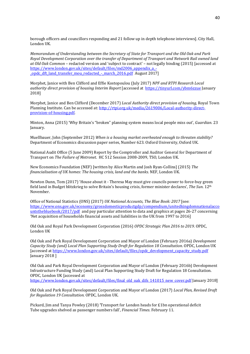borough officers and councillors responding and 21 follow up in depth telephone interviews]. City Hall, London UK.

*Memorandum of Understanding between the Secretary of State for Transport and the Old Oak and Park Royal Development Corporation over the transfer of Department of Transport and Network Rail owned land at Old Oak Common –* redacted version and 'subject to contract' – not legally binding (2015) [accessed at [https://www.london.gov.uk/sites/default/files/md2006\\_appendix\\_a\\_-](https://www.london.gov.uk/sites/default/files/md2006_appendix_a_-_opdc_dft_land_transfer_mou_redacted_-_march_2016.pdf) [\\_opdc\\_dft\\_land\\_transfer\\_mou\\_redacted\\_-\\_march\\_2016.pdf](https://www.london.gov.uk/sites/default/files/md2006_appendix_a_-_opdc_dft_land_transfer_mou_redacted_-_march_2016.pdf) August 2017]

Morphet, Janice with Ben Clifford and Effie Kostopoulou (July 2017) *NPF and RTPI Research Local authority direct provision of housing Interim Report* [accessed at <https://tinyurl.com/ybm6zzue> January 2018]

Morphet, Janice and Ben Clifford (December 2017) *Local Authority direct provision of housing*, Royal Town Planning Institute. Can be accessed at[: http://rtpi.org.uk/media/2619006/Local-authority-direct](http://rtpi.org.uk/media/2619006/Local-authority-direct-provision-of-housing.pdf)[provision-of-housing.pdf.](http://rtpi.org.uk/media/2619006/Local-authority-direct-provision-of-housing.pdf)

Minton, Anna (2015) 'Why Britain's "broken" planning system means local people miss out', *Guardian*. 23 January.

Muellbauer, John (September 2012) *When is a housing market overheated enough to threaten stability?* Department of Economics discussion paper series, Number 623. Oxford University, Oxford UK.

National Audit Office (5 June 2009) Report by the Comptroller and Auditor General for Department of Transport on *The Failure of Metronet*. HC 512 Session 2008-2009, TSO, London UK.

New Economics Foundation (NEF) [written by Alice Martin and Josh Ryan-Collins] (2015) *The financialisation of UK homes: The housing crisis, land and the banks*. NEF, London UK.

Newton Dunn, Tom (2017) 'House about it - Theresa May must give councils power to force-buy green field land in Budget blitzkrieg to solve Britain's housing crisis, former minister declares', *The Sun*. 12th November.

Office of National Statistics (ONS) (2017) *UK National Accounts, The Blue Book: 2017* [see: [https://www.ons.gov.uk/economy/grossdomesticproductgdp/compendium/unitedkingdomnationalacco](https://www.ons.gov.uk/economy/grossdomesticproductgdp/compendium/unitedkingdomnationalaccountsthebluebook/2017/pdf) [untsthebluebook/2017/pdf](https://www.ons.gov.uk/economy/grossdomesticproductgdp/compendium/unitedkingdomnationalaccountsthebluebook/2017/pdf) and pay particular attention to data and graphics at pages 26-27 concerning 'Net acquisition of households financial assets and liabilities in the UK from 1997 to 2016]

Old Oak and Royal Park Development Corporation (2016) *OPDC Strategic Plan 2016 to 2019*. OPDC, London UK

Old Oak and Park Royal Development Corporation and Mayor of London (February 2016a) *Development Capacity Study (and) Local Plan Supporting Study Draft for Regulation 18 Consultation*. OPDC, London UK [accessed at [https://www.london.gov.uk/sites/default/files/opdc\\_development\\_capacity\\_study.pdf](https://www.london.gov.uk/sites/default/files/opdc_development_capacity_study.pdf) January 2018 ]

Old Oak and Park Royal Development Corporation and Mayor of London (February 2016b) Development Infrastructure Funding Study (and) Local Plan Supporting Study Draft for Regulation 18 Consultation. OPDC, London UK [accessed at

[https://www.london.gov.uk/sites/default/files/final\\_old\\_oak\\_difs\\_141015\\_new\\_cover.pdf](https://www.london.gov.uk/sites/default/files/final_old_oak_difs_141015_new_cover.pdf) January 2018]

Old Oak and Park Royal Development Corporation and Mayor of London (2017) *Local Plan, Revised Draft for Regulation 19 Consultation*. OPDC, London UK.

Pickard, Jim and Tanya Powley (2018) 'Transport for London heads for £1bn operational deficit Tube upgrades shelved as passenger numbers fall', *Financial Times*. February 11.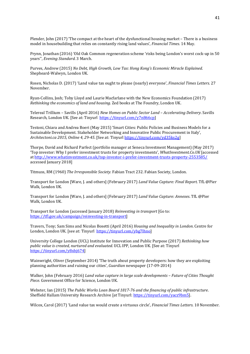Plender, John (2017) 'The compact at the heart of the dysfunctional housing market – There is a business model in housebuilding that relies on constantly rising land values', *Financial Times*. 14 May.

Prynn, Jonathan (2016) 'Old Oak Common regeneration scheme 'risks being London's worst cock-up in 50 years'', *Evening Standard*. 3 March.

Purves, Andrew (2015) *No Debt, High Growth, Low Tax: Hong Kong's Economic Miracle Explained*. Shepheard-Walwyn, London UK.

Rosen, Nicholas D. (2017) 'Land value tax ought to please (nearly) everyone', *Financial Times Letters*. 27 November.

Ryan-Collins, Josh; Toby Lloyd and Laurie Macfarlane with the New Economics Foundation (2017) *Rethinking the economics of land and housing*. Zed books at The Foundry, London UK.

Telereal Trillium – Savills (April 2016) *New Homes on Public Sector Land – Accelerating Delivery*. Savills Research, London UK. [See at: Tinyurl [https://tinyurl.com/y7n866cp\]](https://tinyurl.com/y7n866cp)

Testoni, Chiara and Andrea Boeri (May 2015) 'Smart Cities: Public Policies and Business Models for a Sustainable Development. Stakeholder Networking and Innovative Public Procurement in Italy', *Architectoni.ca 2015, Online 4, 29-45*. [See at: Tinyurl [https://tinyurl.com/yd35ks2g\]](https://tinyurl.com/yd35ks2g)

Thorpe, David and Richard Parfect (portfolio manager at Seneca Investment Management) (May 2017) 'Top investor: Why I prefer investment trusts for property investments', *WhatInvestment.Co.UK* [accessed a[t http://www.whatinvestment.co.uk/top-investor-i-prefer-investment-trusts-property-2553585/](http://www.whatinvestment.co.uk/top-investor-i-prefer-investment-trusts-property-2553585/) accessed January 2018]

Titmuss, RM (1960) *The Irresponsible Society*. Fabian Tract 232. Fabian Society, London.

Transport for London [Ware, J. and others] (February 2017) *Land Value Capture: Final Report*. TfL @Pier Walk, London UK.

Transport for London [Ware, J. and others] (February 2017) *Land Value Capture: Annexes*. TfL @Pier Walk, London UK.

Transport for London (accessed January 2018) *Reinvesting in transport* [Go to: [https://tfl.gov.uk/campaign/reinvesting-in-transport\]](https://tfl.gov.uk/campaign/reinvesting-in-transport)

Travers, Tony; Sam Sims and Nicolas Bosetti (April 2016) *Housing and Inequality in London*. Centre for London, London UK. [see at: Tinyurl [https://tinyurl.com/ybg7lhno\]](https://tinyurl.com/ybg7lhno)

University College London (UCL) Institute for Innovation and Public Purpose (2017) *Rethinking how public value is created, nurtured and evaluated*. UCL IPP, London UK. [See at: Tinyurl [https://tinyurl.com/y8xbj674\]](https://tinyurl.com/y8xbj674)

Wainwright, Oliver (September 2014) 'The truth about property developers: how they are exploiting planning authorities and ruining our cities', *Guardian* newspaper (17-09-2014)

Walker, John (February 2016) *Land value capture in large scale developments – Future of Cities Thought Piece*. Government Office for Science, London UK.

Webster, Ian (2015) *The Public Works Loan Board 1817-76 and the financing of public infrastructure*. Sheffield Hallam University Research Archive [at Tinyurl: [https://tinyurl.com/yacz9bm5\]](https://tinyurl.com/yacz9bm5).

Wilcox, Carol (2017) 'Land value tax would create a virtuous circle', *Financial Times Letters*. 10 November.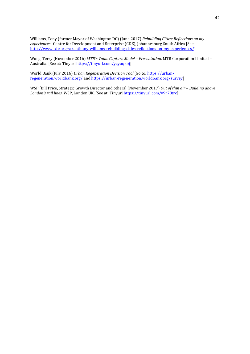Williams, Tony (former Mayor of Washington DC) (June 2017) *Rebuilding Cities: Reflections on my experiences*. Centre for Development and Enterprise (CDE), Johannesburg South Africa [See: [http://www.cde.org.za/anthony-williams-rebuilding-cities-reflections-on-my-experiences/\]](http://www.cde.org.za/anthony-williams-rebuilding-cities-reflections-on-my-experiences/).

Wong, Terry (November 2016) *MTR's Value Capture Model – Presentation*. MTR Corporation Limited – Australia. [See at: Tinyur[l https://tinyurl.com/ycyuqkbj\]](https://tinyurl.com/ycyuqkbj)

World Bank (July 2016) *Urban Regeneration Decision Tool* [Go to: [https://urban](https://urban-regeneration.worldbank.org/)[regeneration.worldbank.org/](https://urban-regeneration.worldbank.org/) and [https://urban-regeneration.worldbank.org/survey\]](https://urban-regeneration.worldbank.org/survey)

WSP [Bill Price, Strategic Growth Director and others] (November 2017) *Out of thin air – Building above London's rail lines*. WSP, London UK. [See at: Tinyurl [https://tinyurl.com/y9r78trc\]](https://tinyurl.com/y9r78trc)